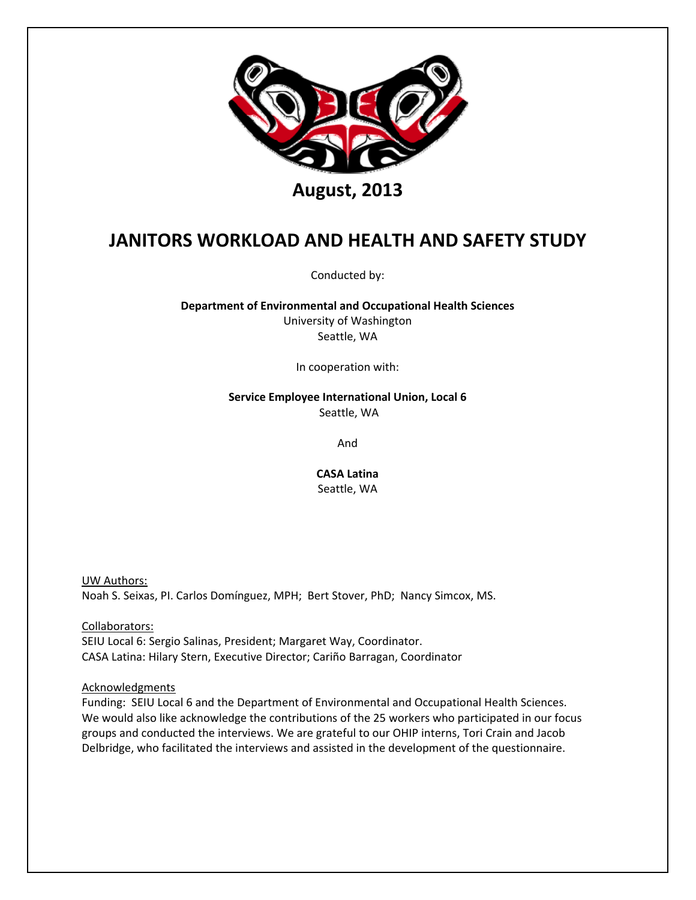

Conducted by:

**Department of Environmental and Occupational Health Sciences** University of Washington Seattle, WA

In cooperation with:

**Service Employee International Union, Local 6** Seattle, WA

And

**CASA Latina**

Seattle, WA

UW Authors: Noah S. Seixas, PI. Carlos Domínguez, MPH; Bert Stover, PhD; Nancy Simcox, MS.

Collaborators: SEIU Local 6: Sergio Salinas, President; Margaret Way, Coordinator. CASA Latina: Hilary Stern, Executive Director; Cariño Barragan, Coordinator

Acknowledgments

Funding: SEIU Local 6 and the Department of Environmental and Occupational Health Sciences. We would also like acknowledge the contributions of the 25 workers who participated in our focus groups and conducted the interviews. We are grateful to our OHIP interns, Tori Crain and Jacob Delbridge, who facilitated the interviews and assisted in the development of the questionnaire.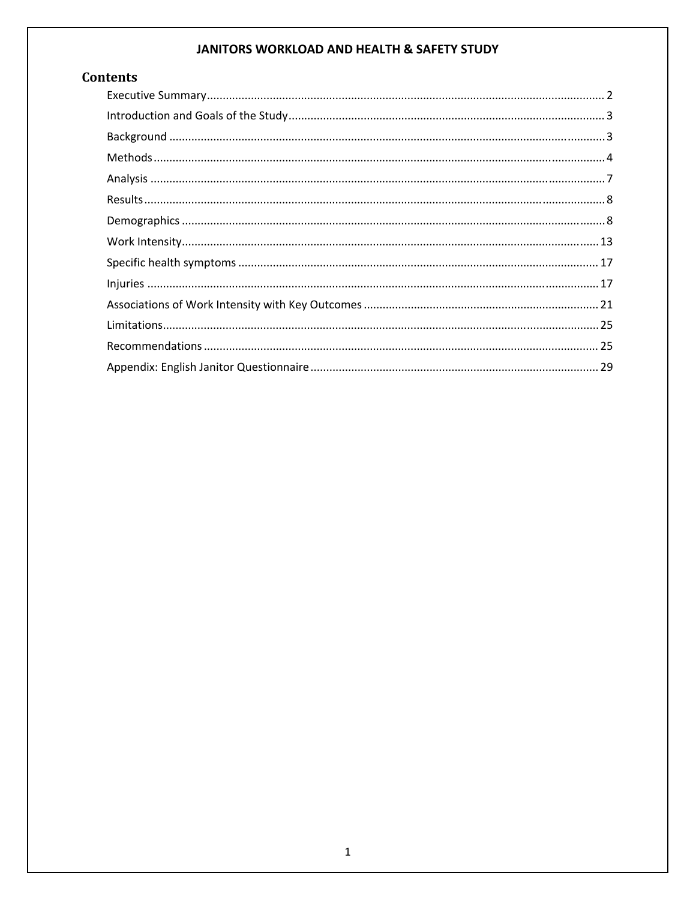# **Contents**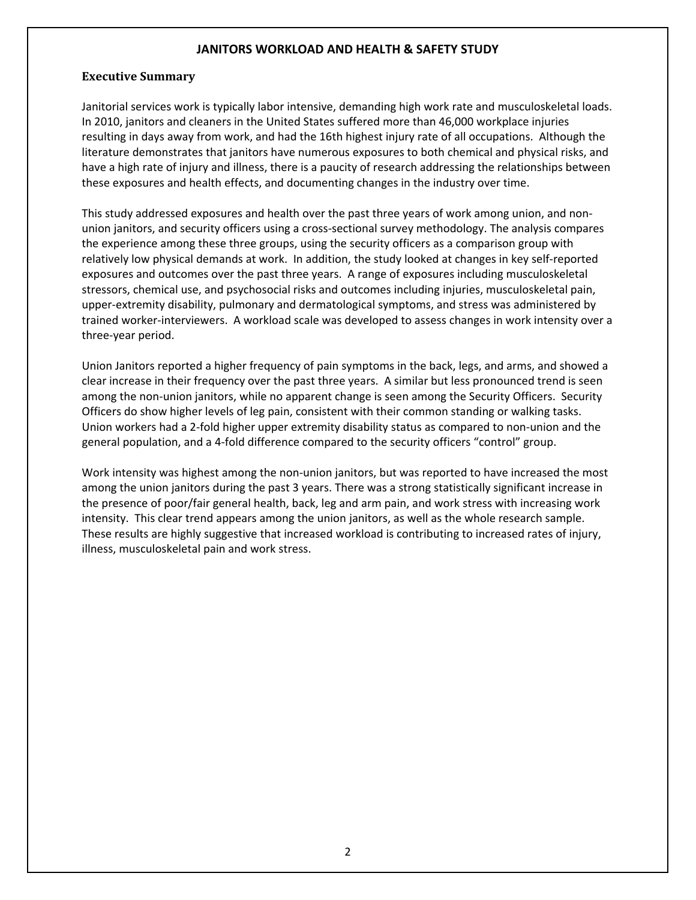#### **Executive Summary**

Janitorial services work is typically labor intensive, demanding high work rate and musculoskeletal loads. In 2010, janitors and cleaners in the United States suffered more than 46,000 workplace injuries resulting in days away from work, and had the 16th highest injury rate of all occupations. Although the literature demonstrates that janitors have numerous exposures to both chemical and physical risks, and have a high rate of injury and illness, there is a paucity of research addressing the relationships between these exposures and health effects, and documenting changes in the industry over time.

This study addressed exposures and health over the past three years of work among union, and non‐ union janitors, and security officers using a cross‐sectional survey methodology. The analysis compares the experience among these three groups, using the security officers as a comparison group with relatively low physical demands at work. In addition, the study looked at changes in key self‐reported exposures and outcomes over the past three years. A range of exposures including musculoskeletal stressors, chemical use, and psychosocial risks and outcomes including injuries, musculoskeletal pain, upper‐extremity disability, pulmonary and dermatological symptoms, and stress was administered by trained worker‐interviewers. A workload scale was developed to assess changes in work intensity over a three‐year period.

Union Janitors reported a higher frequency of pain symptoms in the back, legs, and arms, and showed a clear increase in their frequency over the past three years. A similar but less pronounced trend is seen among the non-union janitors, while no apparent change is seen among the Security Officers. Security Officers do show higher levels of leg pain, consistent with their common standing or walking tasks. Union workers had a 2‐fold higher upper extremity disability status as compared to non‐union and the general population, and a 4‐fold difference compared to the security officers "control" group.

Work intensity was highest among the non-union janitors, but was reported to have increased the most among the union janitors during the past 3 years. There was a strong statistically significant increase in the presence of poor/fair general health, back, leg and arm pain, and work stress with increasing work intensity. This clear trend appears among the union janitors, as well as the whole research sample. These results are highly suggestive that increased workload is contributing to increased rates of injury, illness, musculoskeletal pain and work stress.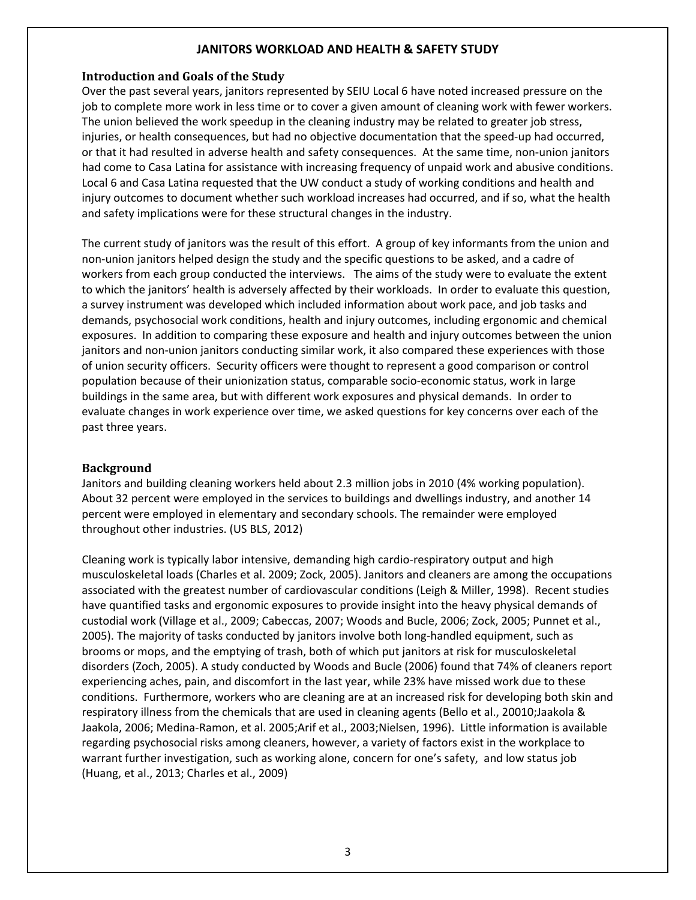#### **Introduction and Goals of the Study**

Over the past several years, janitors represented by SEIU Local 6 have noted increased pressure on the job to complete more work in less time or to cover a given amount of cleaning work with fewer workers. The union believed the work speedup in the cleaning industry may be related to greater job stress, injuries, or health consequences, but had no objective documentation that the speed-up had occurred, or that it had resulted in adverse health and safety consequences. At the same time, non‐union janitors had come to Casa Latina for assistance with increasing frequency of unpaid work and abusive conditions. Local 6 and Casa Latina requested that the UW conduct a study of working conditions and health and injury outcomes to document whether such workload increases had occurred, and if so, what the health and safety implications were for these structural changes in the industry.

The current study of janitors was the result of this effort. A group of key informants from the union and non‐union janitors helped design the study and the specific questions to be asked, and a cadre of workers from each group conducted the interviews. The aims of the study were to evaluate the extent to which the janitors' health is adversely affected by their workloads. In order to evaluate this question, a survey instrument was developed which included information about work pace, and job tasks and demands, psychosocial work conditions, health and injury outcomes, including ergonomic and chemical exposures. In addition to comparing these exposure and health and injury outcomes between the union janitors and non-union janitors conducting similar work, it also compared these experiences with those of union security officers. Security officers were thought to represent a good comparison or control population because of their unionization status, comparable socio‐economic status, work in large buildings in the same area, but with different work exposures and physical demands. In order to evaluate changes in work experience over time, we asked questions for key concerns over each of the past three years.

#### **Background**

Janitors and building cleaning workers held about 2.3 million jobs in 2010 (4% working population). About 32 percent were employed in the services to buildings and dwellings industry, and another 14 percent were employed in elementary and secondary schools. The remainder were employed throughout other industries. (US BLS, 2012)

Cleaning work is typically labor intensive, demanding high cardio‐respiratory output and high musculoskeletal loads (Charles et al. 2009; Zock, 2005). Janitors and cleaners are among the occupations associated with the greatest number of cardiovascular conditions (Leigh & Miller, 1998). Recent studies have quantified tasks and ergonomic exposures to provide insight into the heavy physical demands of custodial work (Village et al., 2009; Cabeccas, 2007; Woods and Bucle, 2006; Zock, 2005; Punnet et al., 2005). The majority of tasks conducted by janitors involve both long‐handled equipment, such as brooms or mops, and the emptying of trash, both of which put janitors at risk for musculoskeletal disorders (Zoch, 2005). A study conducted by Woods and Bucle (2006) found that 74% of cleaners report experiencing aches, pain, and discomfort in the last year, while 23% have missed work due to these conditions. Furthermore, workers who are cleaning are at an increased risk for developing both skin and respiratory illness from the chemicals that are used in cleaning agents (Bello et al., 20010;Jaakola & Jaakola, 2006; Medina‐Ramon, et al. 2005;Arif et al., 2003;Nielsen, 1996). Little information is available regarding psychosocial risks among cleaners, however, a variety of factors exist in the workplace to warrant further investigation, such as working alone, concern for one's safety, and low status job (Huang, et al., 2013; Charles et al., 2009)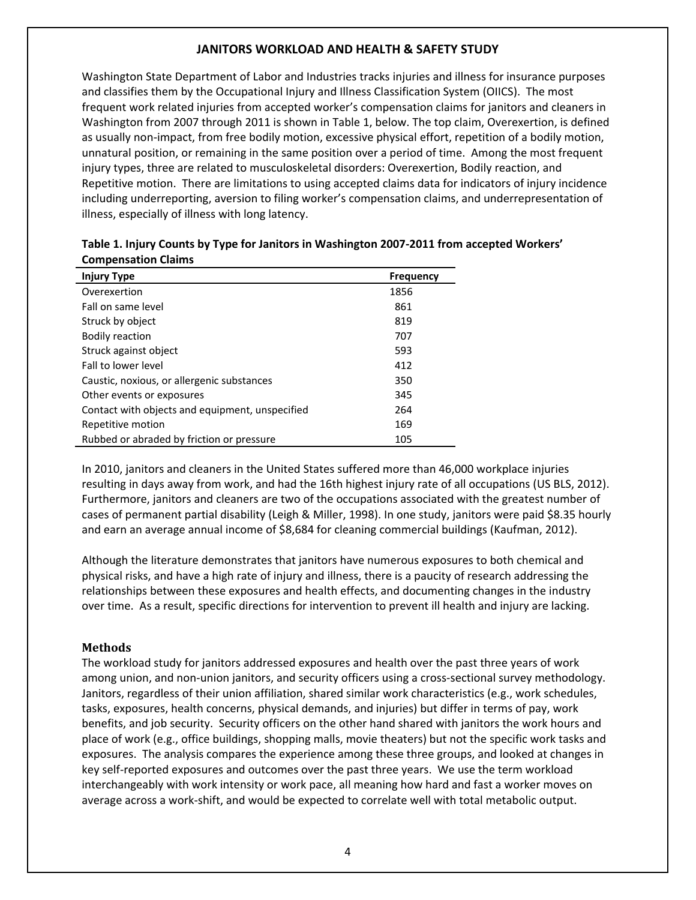Washington State Department of Labor and Industries tracks injuries and illness for insurance purposes and classifies them by the Occupational Injury and Illness Classification System (OIICS). The most frequent work related injuries from accepted worker's compensation claims for janitors and cleaners in Washington from 2007 through 2011 is shown in Table 1, below. The top claim, Overexertion, is defined as usually non-impact, from free bodily motion, excessive physical effort, repetition of a bodily motion, unnatural position, or remaining in the same position over a period of time. Among the most frequent injury types, three are related to musculoskeletal disorders: Overexertion, Bodily reaction, and Repetitive motion. There are limitations to using accepted claims data for indicators of injury incidence including underreporting, aversion to filing worker's compensation claims, and underrepresentation of illness, especially of illness with long latency.

| <b>Injury Type</b>                              | <b>Frequency</b> |
|-------------------------------------------------|------------------|
| Overexertion                                    | 1856             |
| Fall on same level                              | 861              |
| Struck by object                                | 819              |
| <b>Bodily reaction</b>                          | 707              |
| Struck against object                           | 593              |
| Fall to lower level                             | 412              |
| Caustic, noxious, or allergenic substances      | 350              |
| Other events or exposures                       | 345              |
| Contact with objects and equipment, unspecified | 264              |
| Repetitive motion                               | 169              |
| Rubbed or abraded by friction or pressure       | 105              |

**Table 1. Injury Counts by Type for Janitors in Washington 2007‐2011 from accepted Workers' Compensation Claims**

In 2010, janitors and cleaners in the United States suffered more than 46,000 workplace injuries resulting in days away from work, and had the 16th highest injury rate of all occupations (US BLS, 2012). Furthermore, janitors and cleaners are two of the occupations associated with the greatest number of cases of permanent partial disability (Leigh & Miller, 1998). In one study, janitors were paid \$8.35 hourly and earn an average annual income of \$8,684 for cleaning commercial buildings (Kaufman, 2012).

Although the literature demonstrates that janitors have numerous exposures to both chemical and physical risks, and have a high rate of injury and illness, there is a paucity of research addressing the relationships between these exposures and health effects, and documenting changes in the industry over time. As a result, specific directions for intervention to prevent ill health and injury are lacking.

#### **Methods**

The workload study for janitors addressed exposures and health over the past three years of work among union, and non-union janitors, and security officers using a cross-sectional survey methodology. Janitors, regardless of their union affiliation, shared similar work characteristics (e.g., work schedules, tasks, exposures, health concerns, physical demands, and injuries) but differ in terms of pay, work benefits, and job security. Security officers on the other hand shared with janitors the work hours and place of work (e.g., office buildings, shopping malls, movie theaters) but not the specific work tasks and exposures. The analysis compares the experience among these three groups, and looked at changes in key self-reported exposures and outcomes over the past three years. We use the term workload interchangeably with work intensity or work pace, all meaning how hard and fast a worker moves on average across a work‐shift, and would be expected to correlate well with total metabolic output.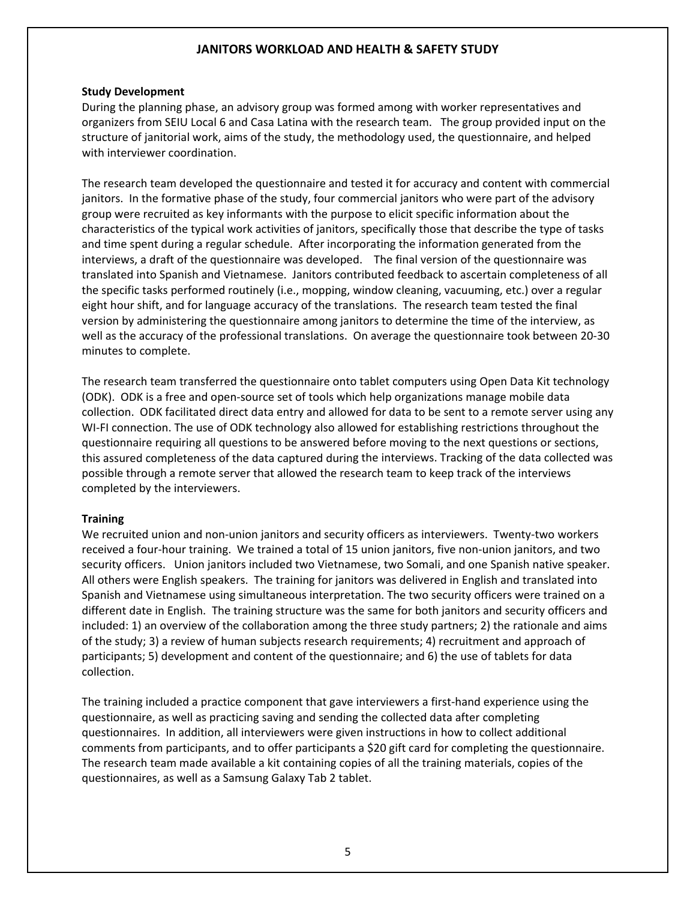#### **Study Development**

During the planning phase, an advisory group was formed among with worker representatives and organizers from SEIU Local 6 and Casa Latina with the research team. The group provided input on the structure of janitorial work, aims of the study, the methodology used, the questionnaire, and helped with interviewer coordination.

The research team developed the questionnaire and tested it for accuracy and content with commercial janitors. In the formative phase of the study, four commercial janitors who were part of the advisory group were recruited as key informants with the purpose to elicit specific information about the characteristics of the typical work activities of janitors, specifically those that describe the type of tasks and time spent during a regular schedule. After incorporating the information generated from the interviews, a draft of the questionnaire was developed. The final version of the questionnaire was translated into Spanish and Vietnamese. Janitors contributed feedback to ascertain completeness of all the specific tasks performed routinely (i.e., mopping, window cleaning, vacuuming, etc.) over a regular eight hour shift, and for language accuracy of the translations. The research team tested the final version by administering the questionnaire among janitors to determine the time of the interview, as well as the accuracy of the professional translations. On average the questionnaire took between 20-30 minutes to complete.

The research team transferred the questionnaire onto tablet computers using Open Data Kit technology (ODK). ODK is a free and open‐source set of tools which help organizations manage mobile data collection. ODK facilitated direct data entry and allowed for data to be sent to a remote server using any WI-FI connection. The use of ODK technology also allowed for establishing restrictions throughout the questionnaire requiring all questions to be answered before moving to the next questions or sections, this assured completeness of the data captured during the interviews. Tracking of the data collected was possible through a remote server that allowed the research team to keep track of the interviews completed by the interviewers.

#### **Training**

We recruited union and non-union janitors and security officers as interviewers. Twenty-two workers received a four-hour training. We trained a total of 15 union janitors, five non-union janitors, and two security officers. Union janitors included two Vietnamese, two Somali, and one Spanish native speaker. All others were English speakers. The training for janitors was delivered in English and translated into Spanish and Vietnamese using simultaneous interpretation. The two security officers were trained on a different date in English. The training structure was the same for both janitors and security officers and included: 1) an overview of the collaboration among the three study partners; 2) the rationale and aims of the study; 3) a review of human subjects research requirements; 4) recruitment and approach of participants; 5) development and content of the questionnaire; and 6) the use of tablets for data collection.

The training included a practice component that gave interviewers a first-hand experience using the questionnaire, as well as practicing saving and sending the collected data after completing questionnaires. In addition, all interviewers were given instructions in how to collect additional comments from participants, and to offer participants a \$20 gift card for completing the questionnaire. The research team made available a kit containing copies of all the training materials, copies of the questionnaires, as well as a Samsung Galaxy Tab 2 tablet.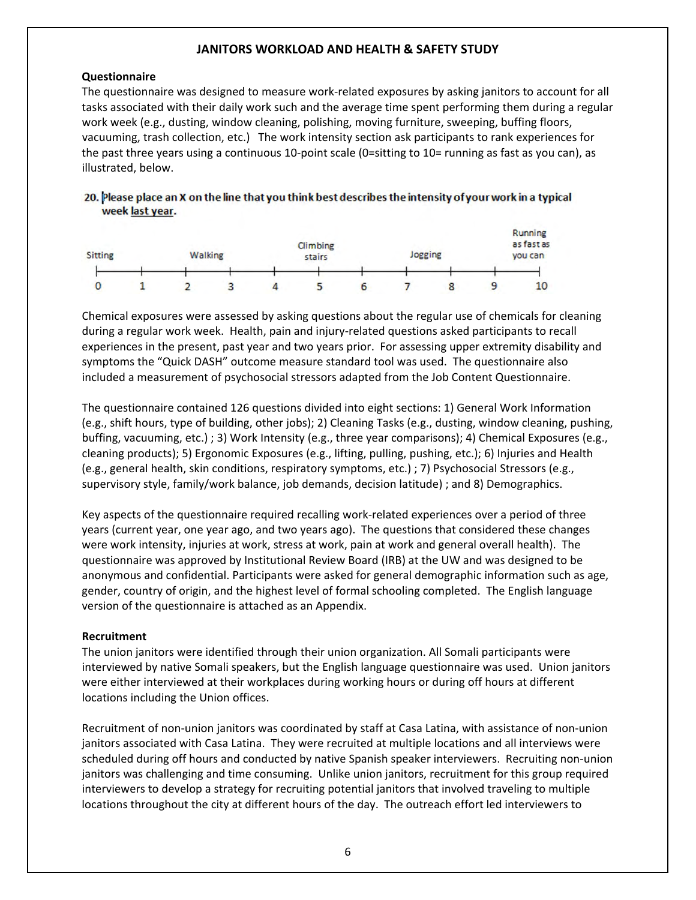#### **Questionnaire**

The questionnaire was designed to measure work‐related exposures by asking janitors to account for all tasks associated with their daily work such and the average time spent performing them during a regular work week (e.g., dusting, window cleaning, polishing, moving furniture, sweeping, buffing floors, vacuuming, trash collection, etc.) The work intensity section ask participants to rank experiences for the past three years using a continuous 10‐point scale (0=sitting to 10= running as fast as you can), as illustrated, below.

#### 20. Please place an X on the line that you think best describes the intensity of your work in a typical week last year.



Chemical exposures were assessed by asking questions about the regular use of chemicals for cleaning during a regular work week. Health, pain and injury‐related questions asked participants to recall experiences in the present, past year and two years prior. For assessing upper extremity disability and symptoms the "Quick DASH" outcome measure standard tool was used. The questionnaire also included a measurement of psychosocial stressors adapted from the Job Content Questionnaire.

The questionnaire contained 126 questions divided into eight sections: 1) General Work Information (e.g., shift hours, type of building, other jobs); 2) Cleaning Tasks (e.g., dusting, window cleaning, pushing, buffing, vacuuming, etc.) ; 3) Work Intensity (e.g., three year comparisons); 4) Chemical Exposures (e.g., cleaning products); 5) Ergonomic Exposures (e.g., lifting, pulling, pushing, etc.); 6) Injuries and Health (e.g., general health, skin conditions, respiratory symptoms, etc.) ; 7) Psychosocial Stressors (e.g., supervisory style, family/work balance, job demands, decision latitude) ; and 8) Demographics.

Key aspects of the questionnaire required recalling work‐related experiences over a period of three years (current year, one year ago, and two years ago). The questions that considered these changes were work intensity, injuries at work, stress at work, pain at work and general overall health). The questionnaire was approved by Institutional Review Board (IRB) at the UW and was designed to be anonymous and confidential. Participants were asked for general demographic information such as age, gender, country of origin, and the highest level of formal schooling completed. The English language version of the questionnaire is attached as an Appendix.

#### **Recruitment**

The union janitors were identified through their union organization. All Somali participants were interviewed by native Somali speakers, but the English language questionnaire was used. Union janitors were either interviewed at their workplaces during working hours or during off hours at different locations including the Union offices.

Recruitment of non‐union janitors was coordinated by staff at Casa Latina, with assistance of non‐union janitors associated with Casa Latina. They were recruited at multiple locations and all interviews were scheduled during off hours and conducted by native Spanish speaker interviewers. Recruiting non-union janitors was challenging and time consuming. Unlike union janitors, recruitment for this group required interviewers to develop a strategy for recruiting potential janitors that involved traveling to multiple locations throughout the city at different hours of the day. The outreach effort led interviewers to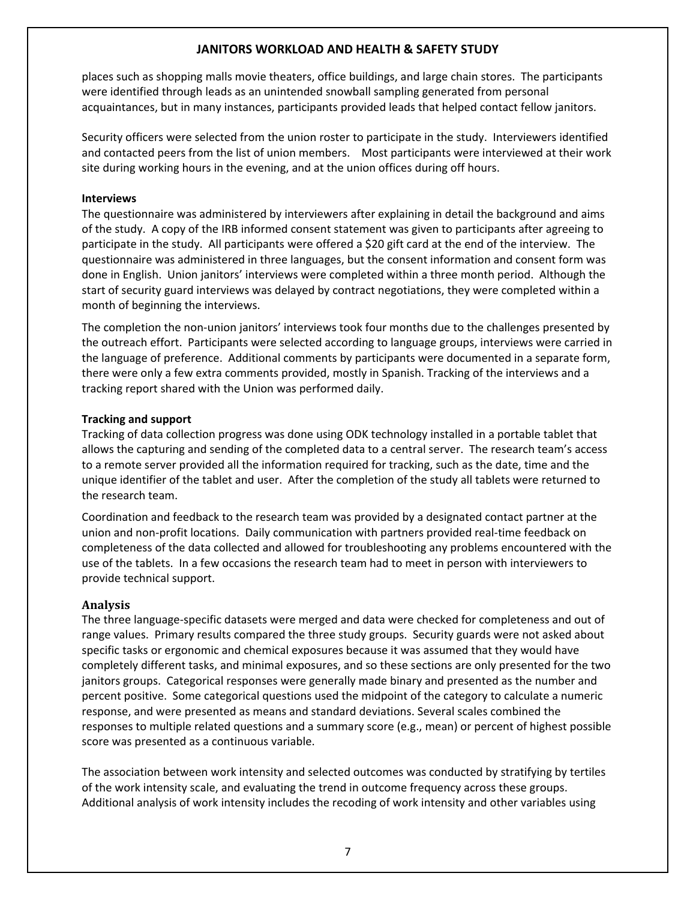places such as shopping malls movie theaters, office buildings, and large chain stores. The participants were identified through leads as an unintended snowball sampling generated from personal acquaintances, but in many instances, participants provided leads that helped contact fellow janitors.

Security officers were selected from the union roster to participate in the study. Interviewers identified and contacted peers from the list of union members. Most participants were interviewed at their work site during working hours in the evening, and at the union offices during off hours.

#### **Interviews**

The questionnaire was administered by interviewers after explaining in detail the background and aims of the study. A copy of the IRB informed consent statement was given to participants after agreeing to participate in the study. All participants were offered a \$20 gift card at the end of the interview. The questionnaire was administered in three languages, but the consent information and consent form was done in English. Union janitors' interviews were completed within a three month period. Although the start of security guard interviews was delayed by contract negotiations, they were completed within a month of beginning the interviews.

The completion the non-union janitors' interviews took four months due to the challenges presented by the outreach effort. Participants were selected according to language groups, interviews were carried in the language of preference. Additional comments by participants were documented in a separate form, there were only a few extra comments provided, mostly in Spanish. Tracking of the interviews and a tracking report shared with the Union was performed daily.

#### **Tracking and support**

Tracking of data collection progress was done using ODK technology installed in a portable tablet that allows the capturing and sending of the completed data to a central server. The research team's access to a remote server provided all the information required for tracking, such as the date, time and the unique identifier of the tablet and user. After the completion of the study all tablets were returned to the research team.

Coordination and feedback to the research team was provided by a designated contact partner at the union and non‐profit locations. Daily communication with partners provided real‐time feedback on completeness of the data collected and allowed for troubleshooting any problems encountered with the use of the tablets. In a few occasions the research team had to meet in person with interviewers to provide technical support.

#### **Analysis**

The three language‐specific datasets were merged and data were checked for completeness and out of range values. Primary results compared the three study groups. Security guards were not asked about specific tasks or ergonomic and chemical exposures because it was assumed that they would have completely different tasks, and minimal exposures, and so these sections are only presented for the two janitors groups. Categorical responses were generally made binary and presented as the number and percent positive. Some categorical questions used the midpoint of the category to calculate a numeric response, and were presented as means and standard deviations. Several scales combined the responses to multiple related questions and a summary score (e.g., mean) or percent of highest possible score was presented as a continuous variable.

The association between work intensity and selected outcomes was conducted by stratifying by tertiles of the work intensity scale, and evaluating the trend in outcome frequency across these groups. Additional analysis of work intensity includes the recoding of work intensity and other variables using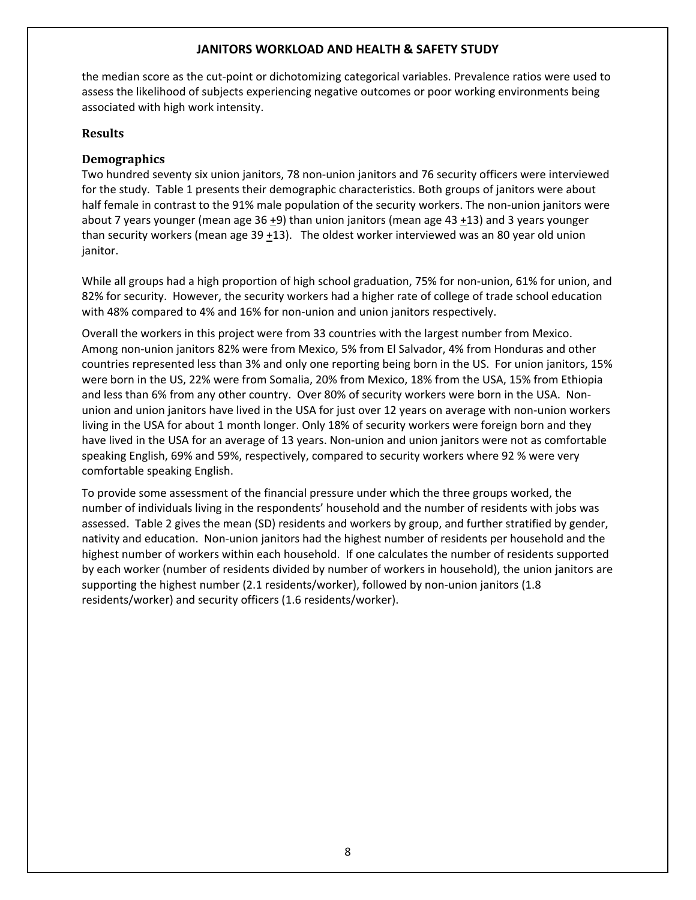the median score as the cut-point or dichotomizing categorical variables. Prevalence ratios were used to assess the likelihood of subjects experiencing negative outcomes or poor working environments being associated with high work intensity.

#### **Results**

#### **Demographics**

Two hundred seventy six union janitors, 78 non‐union janitors and 76 security officers were interviewed for the study. Table 1 presents their demographic characteristics. Both groups of janitors were about half female in contrast to the 91% male population of the security workers. The non-union janitors were about 7 years younger (mean age 36 +9) than union janitors (mean age 43 +13) and 3 years younger than security workers (mean age  $39 + 13$ ). The oldest worker interviewed was an 80 year old union janitor.

While all groups had a high proportion of high school graduation, 75% for non-union, 61% for union, and 82% for security. However, the security workers had a higher rate of college of trade school education with 48% compared to 4% and 16% for non-union and union janitors respectively.

Overall the workers in this project were from 33 countries with the largest number from Mexico. Among non-union janitors 82% were from Mexico, 5% from El Salvador, 4% from Honduras and other countries represented less than 3% and only one reporting being born in the US. For union janitors, 15% were born in the US, 22% were from Somalia, 20% from Mexico, 18% from the USA, 15% from Ethiopia and less than 6% from any other country. Over 80% of security workers were born in the USA. Nonunion and union janitors have lived in the USA for just over 12 years on average with non‐union workers living in the USA for about 1 month longer. Only 18% of security workers were foreign born and they have lived in the USA for an average of 13 years. Non-union and union janitors were not as comfortable speaking English, 69% and 59%, respectively, compared to security workers where 92 % were very comfortable speaking English.

To provide some assessment of the financial pressure under which the three groups worked, the number of individuals living in the respondents' household and the number of residents with jobs was assessed. Table 2 gives the mean (SD) residents and workers by group, and further stratified by gender, nativity and education. Non‐union janitors had the highest number of residents per household and the highest number of workers within each household. If one calculates the number of residents supported by each worker (number of residents divided by number of workers in household), the union janitors are supporting the highest number (2.1 residents/worker), followed by non‐union janitors (1.8 residents/worker) and security officers (1.6 residents/worker).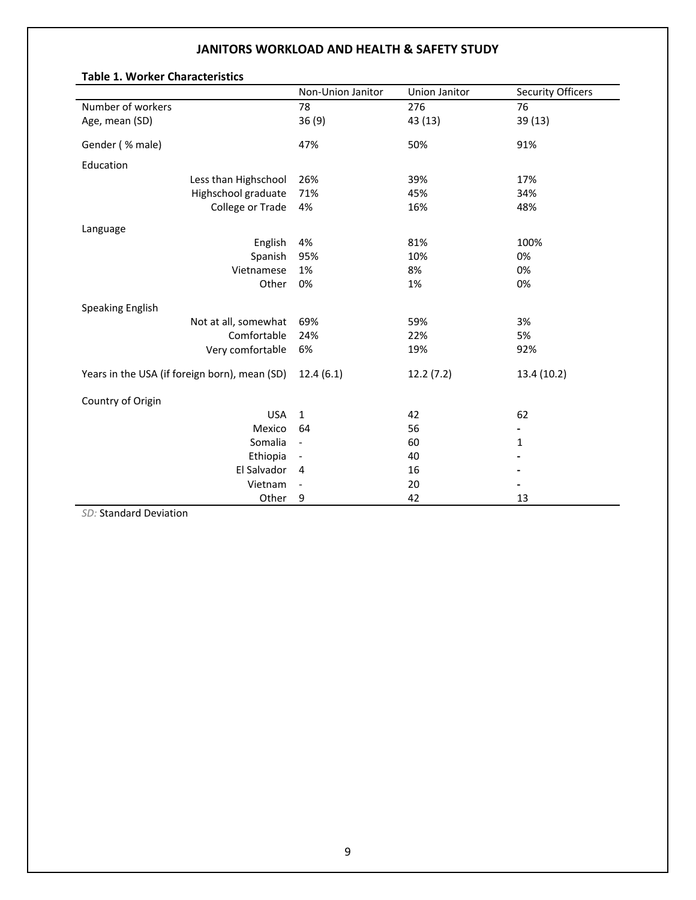|                                               | Non-Union Janitor            | Union Janitor | <b>Security Officers</b> |
|-----------------------------------------------|------------------------------|---------------|--------------------------|
| Number of workers                             | 78                           | 276           | 76                       |
| Age, mean (SD)                                | 36(9)                        | 43 (13)       | 39 (13)                  |
| Gender (% male)                               | 47%                          | 50%           | 91%                      |
| Education                                     |                              |               |                          |
| Less than Highschool                          | 26%                          | 39%           | 17%                      |
| Highschool graduate                           | 71%                          | 45%           | 34%                      |
| College or Trade                              | 4%                           | 16%           | 48%                      |
| Language                                      |                              |               |                          |
| English                                       | 4%                           | 81%           | 100%                     |
| Spanish                                       | 95%                          | 10%           | 0%                       |
| Vietnamese                                    | 1%                           | 8%            | 0%                       |
| Other                                         | 0%                           | 1%            | 0%                       |
| Speaking English                              |                              |               |                          |
| Not at all, somewhat                          | 69%                          | 59%           | 3%                       |
| Comfortable                                   | 24%                          | 22%           | 5%                       |
| Very comfortable                              | 6%                           | 19%           | 92%                      |
| Years in the USA (if foreign born), mean (SD) | 12.4(6.1)                    | 12.2(7.2)     | 13.4 (10.2)              |
| Country of Origin                             |                              |               |                          |
| <b>USA</b>                                    | $\mathbf{1}$                 | 42            | 62                       |
| Mexico                                        | 64                           | 56            | -                        |
| Somalia                                       | $\qquad \qquad \blacksquare$ | 60            | 1                        |
| Ethiopia                                      | $\overline{\phantom{a}}$     | 40            |                          |
| El Salvador                                   | 4                            | 16            |                          |
| Vietnam                                       |                              | 20            |                          |
| Other                                         | 9                            | 42            | 13                       |

#### **Table 1. Worker Characteristics**

*SD:* Standard Deviation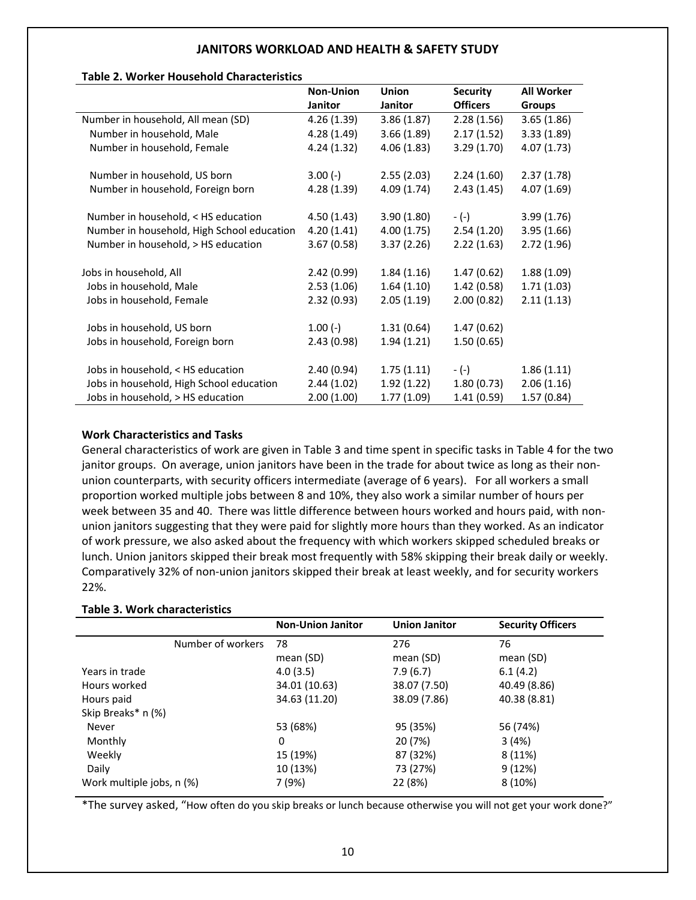#### **Table 2. Worker Household Characteristics**

|                                            | <b>Non-Union</b> | <b>Union</b> | <b>Security</b> | <b>All Worker</b> |
|--------------------------------------------|------------------|--------------|-----------------|-------------------|
|                                            | Janitor          | Janitor      | <b>Officers</b> | <b>Groups</b>     |
| Number in household, All mean (SD)         | 4.26(1.39)       | 3.86(1.87)   | 2.28(1.56)      | 3.65(1.86)        |
| Number in household, Male                  | 4.28(1.49)       | 3.66(1.89)   | 2.17(1.52)      | 3.33(1.89)        |
| Number in household, Female                | 4.24(1.32)       | 4.06(1.83)   | 3.29(1.70)      | 4.07(1.73)        |
|                                            |                  |              |                 |                   |
| Number in household, US born               | $3.00(-)$        | 2.55(2.03)   | 2.24(1.60)      | 2.37(1.78)        |
| Number in household, Foreign born          | 4.28(1.39)       | 4.09(1.74)   | 2.43(1.45)      | 4.07(1.69)        |
|                                            |                  |              |                 |                   |
| Number in household, < HS education        | 4.50(1.43)       | 3.90(1.80)   | $-(-)$          | 3.99(1.76)        |
| Number in household, High School education | 4.20(1.41)       | 4.00(1.75)   | 2.54(1.20)      | 3.95(1.66)        |
| Number in household, > HS education        | 3.67(0.58)       | 3.37(2.26)   | 2.22(1.63)      | 2.72(1.96)        |
|                                            |                  |              |                 |                   |
| Jobs in household, All                     | 2.42(0.99)       | 1.84(1.16)   | 1.47(0.62)      | 1.88(1.09)        |
| Jobs in household, Male                    | 2.53(1.06)       | 1.64(1.10)   | 1.42(0.58)      | 1.71(1.03)        |
| Jobs in household, Female                  | 2.32(0.93)       | 2.05(1.19)   | 2.00(0.82)      | 2.11(1.13)        |
|                                            |                  |              |                 |                   |
| Jobs in household, US born                 | $1.00(-)$        | 1.31(0.64)   | 1.47(0.62)      |                   |
| Jobs in household, Foreign born            | 2.43(0.98)       | 1.94(1.21)   | 1.50(0.65)      |                   |
|                                            |                  |              |                 |                   |
| Jobs in household, < HS education          | 2.40(0.94)       | 1.75(1.11)   | $-(-)$          | 1.86(1.11)        |
| Jobs in household, High School education   | 2.44(1.02)       | 1.92(1.22)   | 1.80(0.73)      | 2.06(1.16)        |
| Jobs in household, > HS education          | 2.00(1.00)       | 1.77(1.09)   | 1.41(0.59)      | 1.57(0.84)        |

#### **Work Characteristics and Tasks**

General characteristics of work are given in Table 3 and time spent in specific tasks in Table 4 for the two janitor groups. On average, union janitors have been in the trade for about twice as long as their nonunion counterparts, with security officers intermediate (average of 6 years). For all workers a small proportion worked multiple jobs between 8 and 10%, they also work a similar number of hours per week between 35 and 40. There was little difference between hours worked and hours paid, with nonunion janitors suggesting that they were paid for slightly more hours than they worked. As an indicator of work pressure, we also asked about the frequency with which workers skipped scheduled breaks or lunch. Union janitors skipped their break most frequently with 58% skipping their break daily or weekly. Comparatively 32% of non‐union janitors skipped their break at least weekly, and for security workers 22%.

#### **Table 3. Work characteristics**

|                           | <b>Non-Union Janitor</b> | <b>Union Janitor</b> | <b>Security Officers</b> |
|---------------------------|--------------------------|----------------------|--------------------------|
| Number of workers         | 78                       | 276                  | 76                       |
|                           | mean (SD)                | mean (SD)            | mean (SD)                |
| Years in trade            | 4.0(3.5)                 | 7.9(6.7)             | 6.1(4.2)                 |
| Hours worked              | 34.01 (10.63)            | 38.07 (7.50)         | 40.49 (8.86)             |
| Hours paid                | 34.63 (11.20)            | 38.09 (7.86)         | 40.38 (8.81)             |
| Skip Breaks* n (%)        |                          |                      |                          |
| Never                     | 53 (68%)                 | 95 (35%)             | 56 (74%)                 |
| Monthly                   | 0                        | 20 (7%)              | 3(4%)                    |
| Weekly                    | 15 (19%)                 | 87 (32%)             | 8(11%)                   |
| Daily                     | 10 (13%)                 | 73 (27%)             | 9(12%)                   |
| Work multiple jobs, n (%) | 7 (9%)                   | 22 (8%)              | 8(10%)                   |

\*The survey asked, "How often do you skip breaks or lunch because otherwise you will not get your work done?"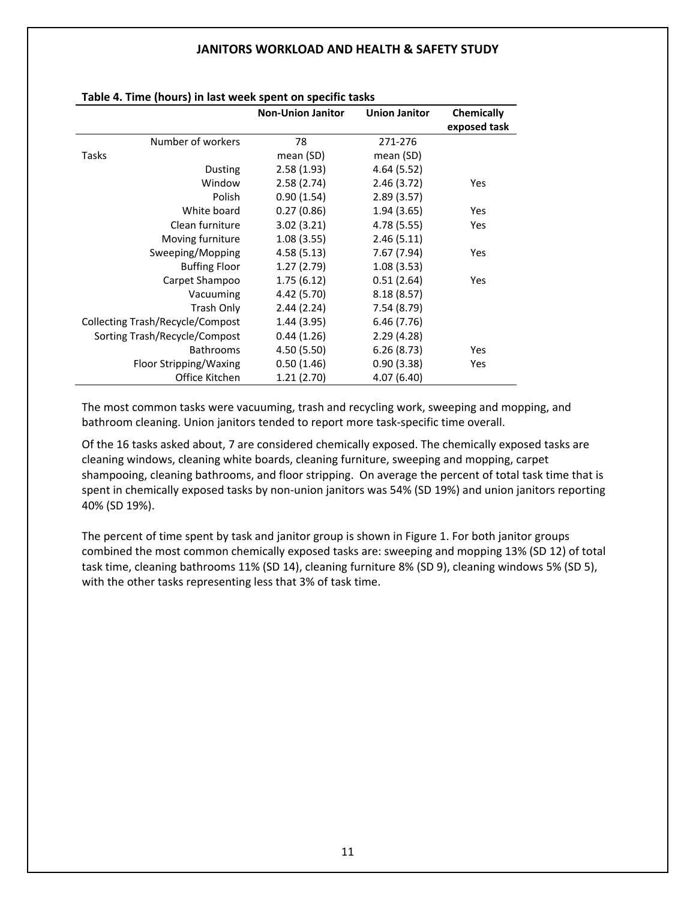|                                         | <b>Non-Union Janitor</b> | <b>Union Janitor</b> | Chemically   |
|-----------------------------------------|--------------------------|----------------------|--------------|
|                                         |                          |                      | exposed task |
| Number of workers                       | 78                       | 271-276              |              |
| Tasks                                   | mean (SD)                | mean (SD)            |              |
| <b>Dusting</b>                          | 2.58(1.93)               | 4.64(5.52)           |              |
| Window                                  | 2.58(2.74)               | 2.46(3.72)           | Yes          |
| Polish                                  | 0.90(1.54)               | 2.89(3.57)           |              |
| White board                             | 0.27(0.86)               | 1.94(3.65)           | <b>Yes</b>   |
| Clean furniture                         | 3.02(3.21)               | 4.78 (5.55)          | <b>Yes</b>   |
| Moving furniture                        | 1.08(3.55)               | 2.46(5.11)           |              |
| Sweeping/Mopping                        | 4.58(5.13)               | 7.67 (7.94)          | <b>Yes</b>   |
| <b>Buffing Floor</b>                    | 1.27(2.79)               | 1.08(3.53)           |              |
| Carpet Shampoo                          | 1.75(6.12)               | 0.51(2.64)           | <b>Yes</b>   |
| Vacuuming                               | 4.42 (5.70)              | 8.18(8.57)           |              |
| Trash Only                              | 2.44(2.24)               | 7.54(8.79)           |              |
| <b>Collecting Trash/Recycle/Compost</b> | 1.44(3.95)               | 6.46(7.76)           |              |
| Sorting Trash/Recycle/Compost           | 0.44(1.26)               | 2.29(4.28)           |              |
| <b>Bathrooms</b>                        | 4.50(5.50)               | 6.26(8.73)           | Yes          |
| Floor Stripping/Waxing                  | 0.50(1.46)               | 0.90(3.38)           | Yes          |
| Office Kitchen                          | 1.21(2.70)               | 4.07 (6.40)          |              |

#### **Table 4. Time (hours) in last week spent on specific tasks**

The most common tasks were vacuuming, trash and recycling work, sweeping and mopping, and bathroom cleaning. Union janitors tended to report more task‐specific time overall.

Of the 16 tasks asked about, 7 are considered chemically exposed. The chemically exposed tasks are cleaning windows, cleaning white boards, cleaning furniture, sweeping and mopping, carpet shampooing, cleaning bathrooms, and floor stripping. On average the percent of total task time that is spent in chemically exposed tasks by non-union janitors was 54% (SD 19%) and union janitors reporting 40% (SD 19%).

The percent of time spent by task and janitor group is shown in Figure 1. For both janitor groups combined the most common chemically exposed tasks are: sweeping and mopping 13% (SD 12) of total task time, cleaning bathrooms 11% (SD 14), cleaning furniture 8% (SD 9), cleaning windows 5% (SD 5), with the other tasks representing less that 3% of task time.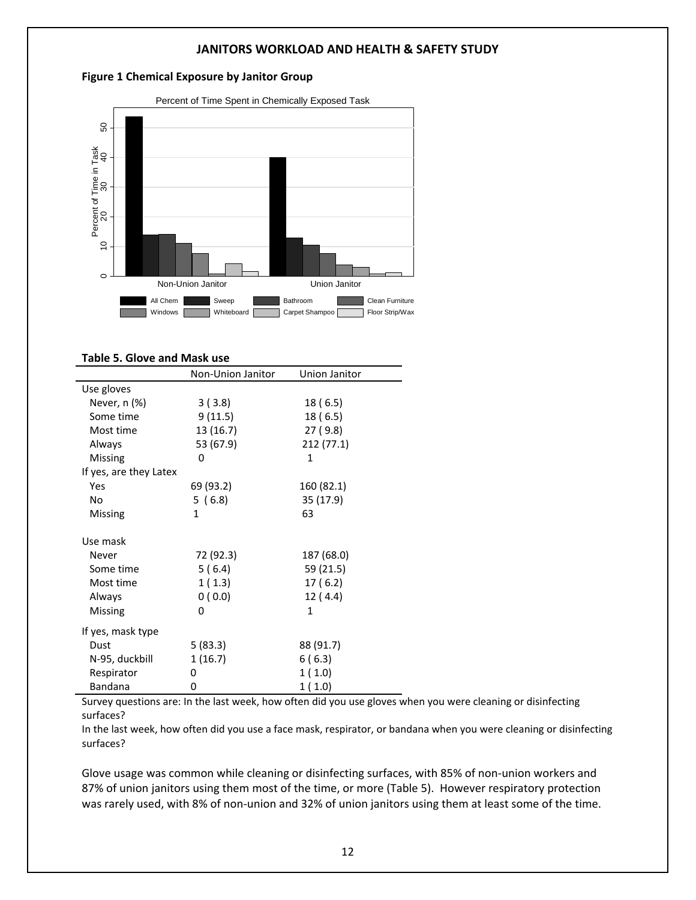#### **Figure 1 Chemical Exposure by Janitor Group**



#### **Table 5. Glove and Mask use**

|                        | Non-Union Janitor | Union Janitor |
|------------------------|-------------------|---------------|
| Use gloves             |                   |               |
| Never, n (%)           | 3(3.8)            | 18 (6.5)      |
| Some time              | 9(11.5)           | 18(6.5)       |
| Most time              | 13 (16.7)         | 27(9.8)       |
| Always                 | 53 (67.9)         | 212 (77.1)    |
| Missing                | 0                 | 1             |
| If yes, are they Latex |                   |               |
| Yes                    | 69 (93.2)         | 160 (82.1)    |
| No                     | 5(6.8)            | 35 (17.9)     |
| Missing                | 1                 | 63            |
| Use mask               |                   |               |
| Never                  | 72 (92.3)         | 187 (68.0)    |
| Some time              | 5(6.4)            | 59 (21.5)     |
| Most time              | 1(1.3)            | 17(6.2)       |
| Always                 | 0(0.0)            | 12 (4.4)      |
| Missing                | 0                 | 1             |
| If yes, mask type      |                   |               |
| Dust                   | 5(83.3)           | 88 (91.7)     |
| N-95, duckbill         | 1(16.7)           | 6(6.3)        |
| Respirator             | 0                 | 1(1.0)        |
| <b>Bandana</b>         | 0                 | 1(1.0)        |

Survey questions are: In the last week, how often did you use gloves when you were cleaning or disinfecting surfaces?

In the last week, how often did you use a face mask, respirator, or bandana when you were cleaning or disinfecting surfaces?

Glove usage was common while cleaning or disinfecting surfaces, with 85% of non‐union workers and 87% of union janitors using them most of the time, or more (Table 5). However respiratory protection was rarely used, with 8% of non-union and 32% of union janitors using them at least some of the time.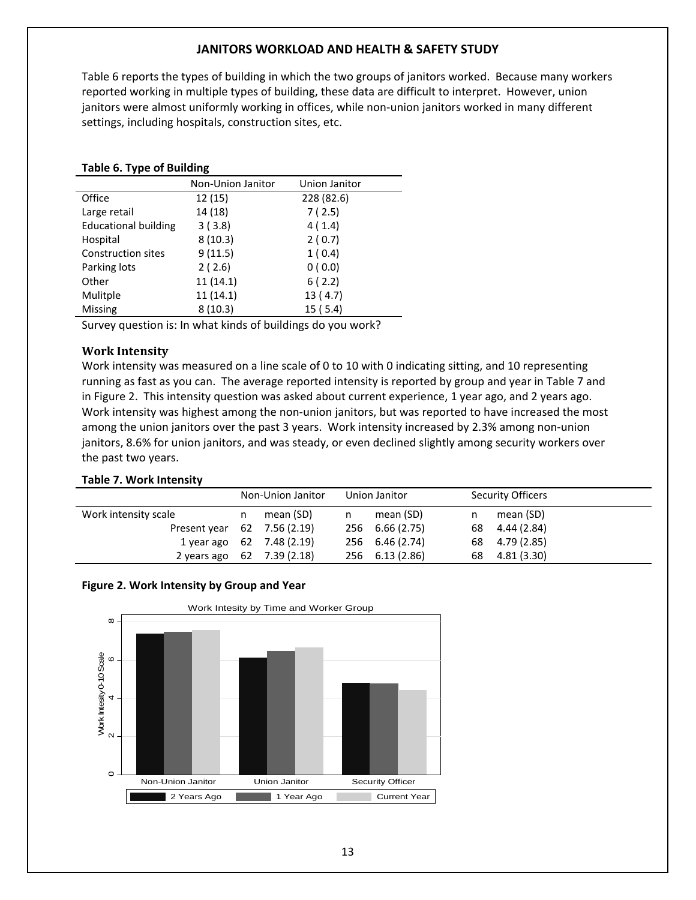Table 6 reports the types of building in which the two groups of janitors worked. Because many workers reported working in multiple types of building, these data are difficult to interpret. However, union janitors were almost uniformly working in offices, while non-union janitors worked in many different settings, including hospitals, construction sites, etc.

|  |  |  |  | <b>Table 6. Type of Building</b> |  |
|--|--|--|--|----------------------------------|--|
|--|--|--|--|----------------------------------|--|

|                             | Non-Union Janitor | Union Janitor |
|-----------------------------|-------------------|---------------|
| Office                      | 12(15)            | 228 (82.6)    |
| Large retail                | 14 (18)           | 7(2.5)        |
| <b>Educational building</b> | 3(3.8)            | 4(1.4)        |
| Hospital                    | 8(10.3)           | 2(0.7)        |
| <b>Construction sites</b>   | 9(11.5)           | 1(0.4)        |
| Parking lots                | 2(2.6)            | 0(0.0)        |
| Other                       | 11(14.1)          | 6(2.2)        |
| Mulitple                    | 11(14.1)          | 13(4.7)       |
| Missing                     | 8(10.3)           | 15(5.4)       |

Survey question is: In what kinds of buildings do you work?

#### **Work Intensity**

Work intensity was measured on a line scale of 0 to 10 with 0 indicating sitting, and 10 representing running as fast as you can. The average reported intensity is reported by group and year in Table 7 and in Figure 2. This intensity question was asked about current experience, 1 year ago, and 2 years ago. Work intensity was highest among the non-union janitors, but was reported to have increased the most among the union janitors over the past 3 years. Work intensity increased by 2.3% among non‐union janitors, 8.6% for union janitors, and was steady, or even declined slightly among security workers over the past two years.

#### **Table 7. Work Intensity**

|                             |      | Non-Union Janitor | Union Janitor   |    | <b>Security Officers</b> |
|-----------------------------|------|-------------------|-----------------|----|--------------------------|
| Work intensity scale        | n.   | mean (SD)         | mean (SD)       | n  | mean (SD)                |
| Present year 62 7.56 (2.19) |      |                   | 256 6.66 (2.75) |    | 68 4.44 (2.84)           |
| 1 year ago                  | - 62 | 7.48 (2.19)       | 256 6.46 (2.74) |    | 68 4.79 (2.85)           |
| 2 years ago                 | 62   | 7.39 (2.18)       | 256 6.13 (2.86) | 68 | 4.81 (3.30)              |



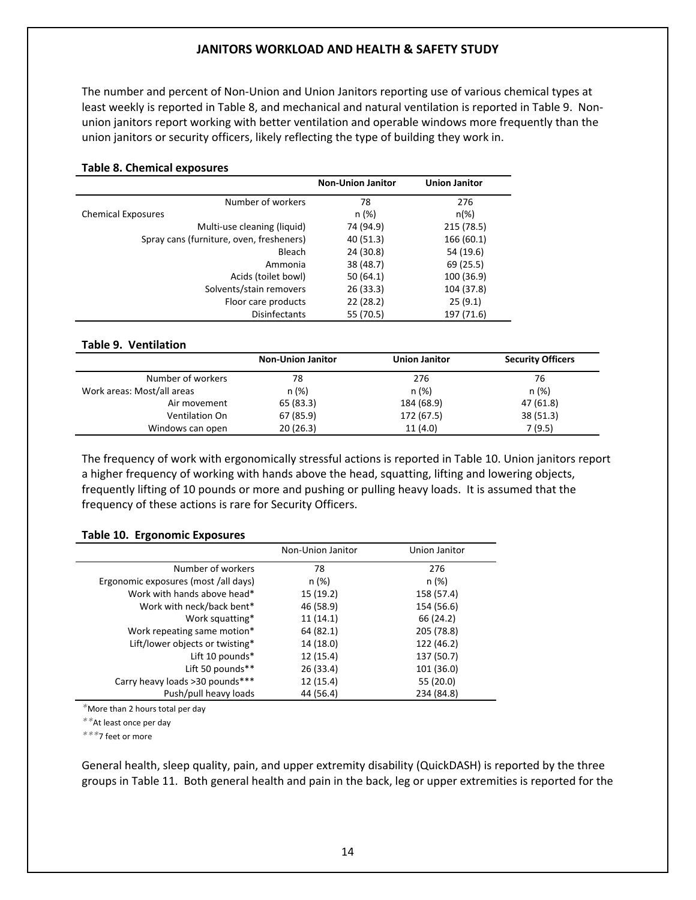The number and percent of Non‐Union and Union Janitors reporting use of various chemical types at least weekly is reported in Table 8, and mechanical and natural ventilation is reported in Table 9. Non‐ union janitors report working with better ventilation and operable windows more frequently than the union janitors or security officers, likely reflecting the type of building they work in.

| <b>Table 8. Chemical exposures</b>       |                          |                      |
|------------------------------------------|--------------------------|----------------------|
|                                          | <b>Non-Union Janitor</b> | <b>Union Janitor</b> |
| Number of workers                        | 78                       | 276                  |
| <b>Chemical Exposures</b>                | n (%)                    | $n(\%)$              |
| Multi-use cleaning (liquid)              | 74 (94.9)                | 215 (78.5)           |
| Spray cans (furniture, oven, fresheners) | 40 (51.3)                | 166 (60.1)           |
| Bleach                                   | 24 (30.8)                | 54 (19.6)            |
| Ammonia                                  | 38 (48.7)                | 69 (25.5)            |
| Acids (toilet bowl)                      | 50(64.1)                 | 100 (36.9)           |
| Solvents/stain removers                  | 26(33.3)                 | 104 (37.8)           |
| Floor care products                      | 22(28.2)                 | 25(9.1)              |
| <b>Disinfectants</b>                     | 55 (70.5)                | 197 (71.6)           |
|                                          |                          |                      |

#### **Table 9. Ventilation**

|                            | <b>Non-Union Janitor</b> | <b>Union Janitor</b> | <b>Security Officers</b> |
|----------------------------|--------------------------|----------------------|--------------------------|
| Number of workers          | 78                       | 276                  | 76                       |
| Work areas: Most/all areas | n (%)                    | n (%)                | n (%)                    |
| Air movement               | 65 (83.3)                | 184 (68.9)           | 47 (61.8)                |
| Ventilation On             | 67 (85.9)                | 172 (67.5)           | 38 (51.3)                |
| Windows can open           | 20(26.3)                 | 11(4.0)              | 7(9.5)                   |

The frequency of work with ergonomically stressful actions is reported in Table 10. Union janitors report a higher frequency of working with hands above the head, squatting, lifting and lowering objects, frequently lifting of 10 pounds or more and pushing or pulling heavy loads. It is assumed that the frequency of these actions is rare for Security Officers.

#### **Table 10. Ergonomic Exposures**

|                                      | Non-Union Janitor | Union Janitor |
|--------------------------------------|-------------------|---------------|
| Number of workers                    | 78                | 276           |
| Ergonomic exposures (most /all days) | n (%)             | n (%)         |
| Work with hands above head*          | 15(19.2)          | 158 (57.4)    |
| Work with neck/back bent*            | 46 (58.9)         | 154 (56.6)    |
| Work squatting*                      | 11(14.1)          | 66 (24.2)     |
| Work repeating same motion*          | 64 (82.1)         | 205 (78.8)    |
| Lift/lower objects or twisting*      | 14 (18.0)         | 122 (46.2)    |
| Lift 10 pounds*                      | 12(15.4)          | 137 (50.7)    |
| Lift 50 pounds**                     | 26 (33.4)         | 101 (36.0)    |
| Carry heavy loads >30 pounds***      | 12 (15.4)         | 55 (20.0)     |
| Push/pull heavy loads                | 44 (56.4)         | 234 (84.8)    |

*\**More than 2 hours total per day

*\*\**At least once per day

*\*\*\**7 feet or more

General health, sleep quality, pain, and upper extremity disability (QuickDASH) is reported by the three groups in Table 11. Both general health and pain in the back, leg or upper extremities is reported for the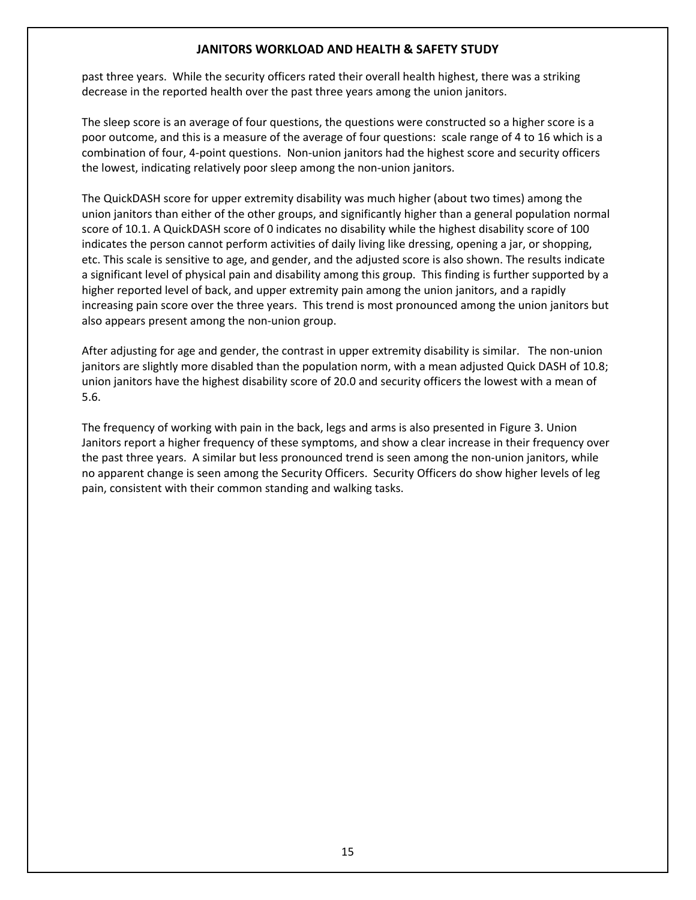past three years. While the security officers rated their overall health highest, there was a striking decrease in the reported health over the past three years among the union janitors.

The sleep score is an average of four questions, the questions were constructed so a higher score is a poor outcome, and this is a measure of the average of four questions: scale range of 4 to 16 which is a combination of four, 4‐point questions. Non‐union janitors had the highest score and security officers the lowest, indicating relatively poor sleep among the non-union janitors.

The QuickDASH score for upper extremity disability was much higher (about two times) among the union janitors than either of the other groups, and significantly higher than a general population normal score of 10.1. A QuickDASH score of 0 indicates no disability while the highest disability score of 100 indicates the person cannot perform activities of daily living like dressing, opening a jar, or shopping, etc. This scale is sensitive to age, and gender, and the adjusted score is also shown. The results indicate a significant level of physical pain and disability among this group. This finding is further supported by a higher reported level of back, and upper extremity pain among the union janitors, and a rapidly increasing pain score over the three years. This trend is most pronounced among the union janitors but also appears present among the non‐union group.

After adjusting for age and gender, the contrast in upper extremity disability is similar. The non-union janitors are slightly more disabled than the population norm, with a mean adjusted Quick DASH of 10.8; union janitors have the highest disability score of 20.0 and security officers the lowest with a mean of 5.6.

The frequency of working with pain in the back, legs and arms is also presented in Figure 3. Union Janitors report a higher frequency of these symptoms, and show a clear increase in their frequency over the past three years. A similar but less pronounced trend is seen among the non-union janitors, while no apparent change is seen among the Security Officers. Security Officers do show higher levels of leg pain, consistent with their common standing and walking tasks.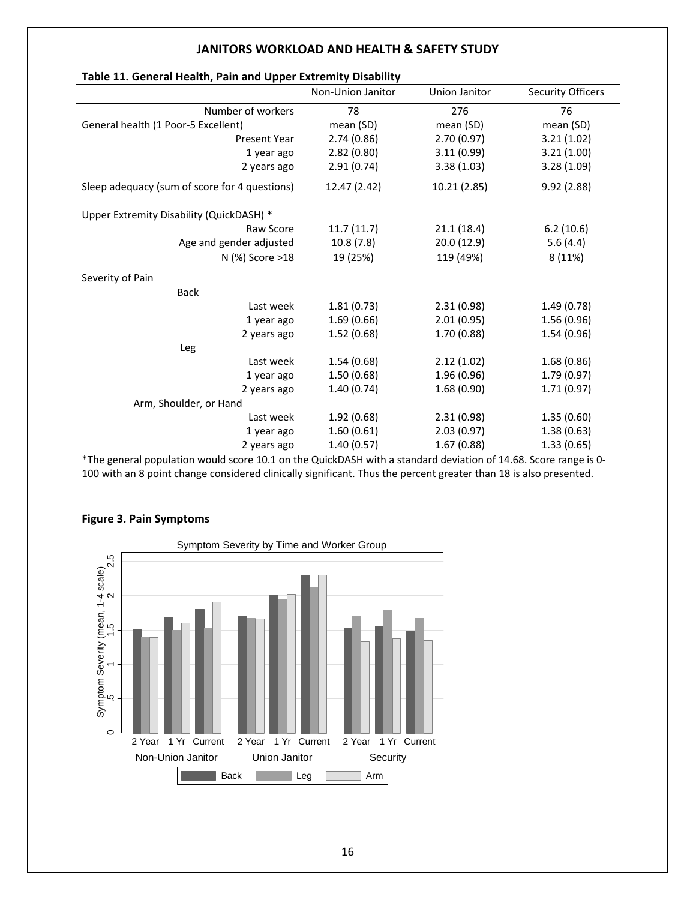| rapic 11. Ochchamhcaith, r ann anu Opper Extremnty Disability | Non-Union Janitor | Union Janitor | <b>Security Officers</b> |
|---------------------------------------------------------------|-------------------|---------------|--------------------------|
| Number of workers                                             | 78                | 276           | 76                       |
| General health (1 Poor-5 Excellent)                           | mean (SD)         | mean (SD)     | mean (SD)                |
| <b>Present Year</b>                                           | 2.74(0.86)        | 2.70(0.97)    | 3.21(1.02)               |
| 1 year ago                                                    | 2.82(0.80)        | 3.11(0.99)    | 3.21(1.00)               |
| 2 years ago                                                   | 2.91(0.74)        | 3.38(1.03)    | 3.28(1.09)               |
| Sleep adequacy (sum of score for 4 questions)                 | 12.47 (2.42)      | 10.21 (2.85)  | 9.92(2.88)               |
| Upper Extremity Disability (QuickDASH) *                      |                   |               |                          |
| Raw Score                                                     | 11.7(11.7)        | 21.1(18.4)    | 6.2(10.6)                |
| Age and gender adjusted                                       | 10.8(7.8)         | 20.0(12.9)    | 5.6(4.4)                 |
| N (%) Score >18                                               | 19 (25%)          | 119 (49%)     | 8 (11%)                  |
| Severity of Pain                                              |                   |               |                          |
| <b>Back</b>                                                   |                   |               |                          |
| Last week                                                     | 1.81(0.73)        | 2.31(0.98)    | 1.49(0.78)               |
| 1 year ago                                                    | 1.69(0.66)        | 2.01(0.95)    | 1.56(0.96)               |
| 2 years ago                                                   | 1.52(0.68)        | 1.70(0.88)    | 1.54(0.96)               |
| Leg                                                           |                   |               |                          |
| Last week                                                     | 1.54(0.68)        | 2.12(1.02)    | 1.68(0.86)               |
| 1 year ago                                                    | 1.50(0.68)        | 1.96 (0.96)   | 1.79(0.97)               |
| 2 years ago                                                   | 1.40(0.74)        | 1.68(0.90)    | 1.71(0.97)               |
| Arm, Shoulder, or Hand                                        |                   |               |                          |
| Last week                                                     | 1.92(0.68)        | 2.31(0.98)    | 1.35(0.60)               |
| 1 year ago                                                    | 1.60(0.61)        | 2.03(0.97)    | 1.38(0.63)               |
| 2 years ago                                                   | 1.40(0.57)        | 1.67(0.88)    | 1.33(0.65)               |

#### **Table 11. General Health, Pain and Upper Extremity Disability**

\*The general population would score 10.1 on the QuickDASH with a standard deviation of 14.68. Score range is 0‐ 100 with an 8 point change considered clinically significant. Thus the percent greater than 18 is also presented.



#### **Figure 3. Pain Symptoms**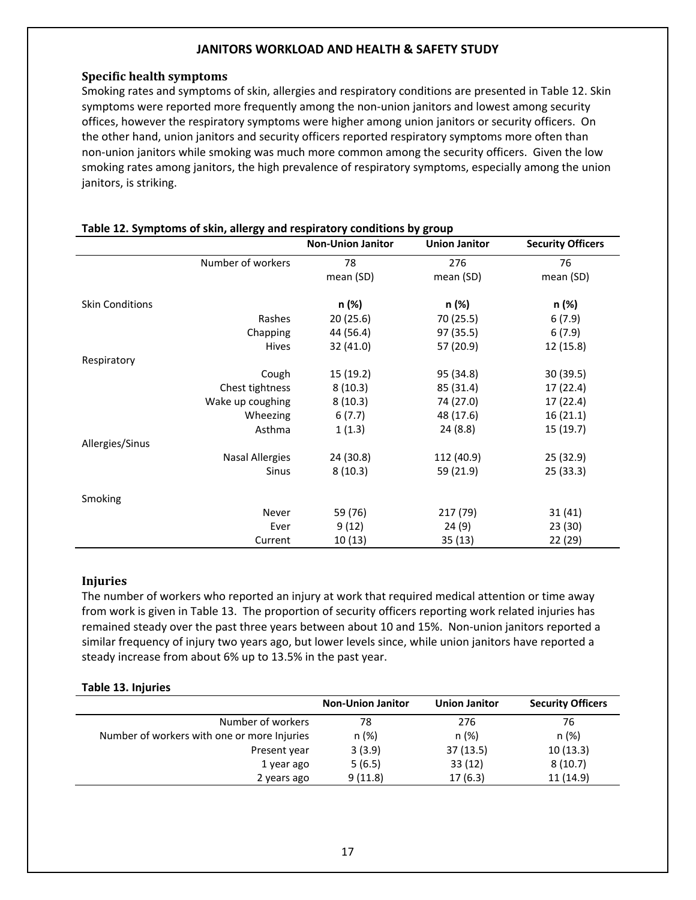### **Specific health symptoms**

Smoking rates and symptoms of skin, allergies and respiratory conditions are presented in Table 12. Skin symptoms were reported more frequently among the non-union janitors and lowest among security offices, however the respiratory symptoms were higher among union janitors or security officers. On the other hand, union janitors and security officers reported respiratory symptoms more often than non‐union janitors while smoking was much more common among the security officers. Given the low smoking rates among janitors, the high prevalence of respiratory symptoms, especially among the union janitors, is striking.

|                        | .,                     | <b>Non-Union Janitor</b> | <b>Union Janitor</b> | <b>Security Officers</b> |
|------------------------|------------------------|--------------------------|----------------------|--------------------------|
|                        | Number of workers      | 78                       | 276                  | 76                       |
|                        |                        | mean (SD)                | mean (SD)            | mean (SD)                |
| <b>Skin Conditions</b> |                        | n (%)                    | n (%)                | n (%)                    |
|                        | Rashes                 | 20(25.6)                 | 70 (25.5)            | 6(7.9)                   |
|                        | Chapping               | 44 (56.4)                | 97 (35.5)            | 6(7.9)                   |
|                        | <b>Hives</b>           | 32 (41.0)                | 57 (20.9)            | 12 (15.8)                |
| Respiratory            |                        |                          |                      |                          |
|                        | Cough                  | 15 (19.2)                | 95 (34.8)            | 30(39.5)                 |
|                        | Chest tightness        | 8(10.3)                  | 85 (31.4)            | 17 (22.4)                |
|                        | Wake up coughing       | 8(10.3)                  | 74 (27.0)            | 17 (22.4)                |
|                        | Wheezing               | 6(7.7)                   | 48 (17.6)            | 16(21.1)                 |
|                        | Asthma                 | 1(1.3)                   | 24 (8.8)             | 15 (19.7)                |
| Allergies/Sinus        |                        |                          |                      |                          |
|                        | <b>Nasal Allergies</b> | 24 (30.8)                | 112 (40.9)           | 25(32.9)                 |
|                        | <b>Sinus</b>           | 8(10.3)                  | 59 (21.9)            | 25(33.3)                 |
| Smoking                |                        |                          |                      |                          |
|                        | Never                  | 59 (76)                  | 217 (79)             | 31(41)                   |
|                        | Ever                   | 9(12)                    | 24(9)                | 23(30)                   |
|                        | Current                | 10(13)                   | 35 (13)              | 22(29)                   |

#### **Table 12. Symptoms of skin, allergy and respiratory conditions by group**

#### **Injuries**

The number of workers who reported an injury at work that required medical attention or time away from work is given in Table 13. The proportion of security officers reporting work related injuries has remained steady over the past three years between about 10 and 15%. Non-union janitors reported a similar frequency of injury two years ago, but lower levels since, while union janitors have reported a steady increase from about 6% up to 13.5% in the past year.

#### **Table 13. Injuries**

|                                             | <b>Non-Union Janitor</b> | <b>Union Janitor</b> | <b>Security Officers</b> |
|---------------------------------------------|--------------------------|----------------------|--------------------------|
| Number of workers                           | 78                       | 276                  | 76                       |
| Number of workers with one or more Injuries | n (%)                    | n (%)                | n (%)                    |
| Present year                                | 3(3.9)                   | 37(13.5)             | 10(13.3)                 |
| 1 year ago                                  | 5(6.5)                   | 33(12)               | 8(10.7)                  |
| 2 years ago                                 | 9(11.8)                  | 17(6.3)              | 11 (14.9)                |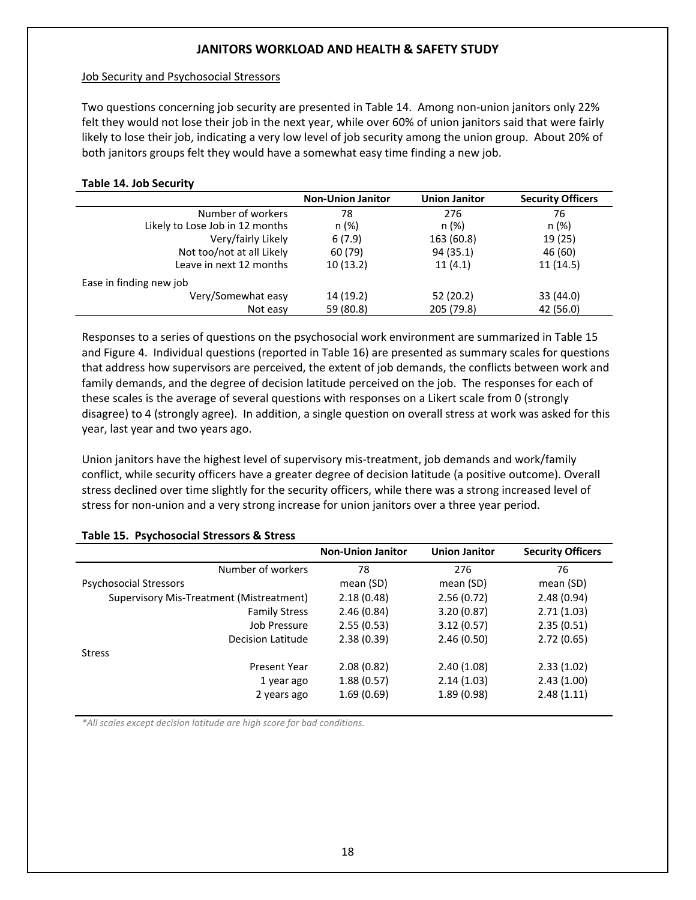#### Job Security and Psychosocial Stressors

Two questions concerning job security are presented in Table 14. Among non‐union janitors only 22% felt they would not lose their job in the next year, while over 60% of union janitors said that were fairly likely to lose their job, indicating a very low level of job security among the union group. About 20% of both janitors groups felt they would have a somewhat easy time finding a new job.

#### **Table 14. Job Security**

|                                 | <b>Non-Union Janitor</b> | <b>Union Janitor</b> | <b>Security Officers</b> |
|---------------------------------|--------------------------|----------------------|--------------------------|
| Number of workers               | 78                       | 276                  | 76                       |
| Likely to Lose Job in 12 months | n (%)                    | n (%)                | n (%)                    |
| Very/fairly Likely              | 6(7.9)                   | 163 (60.8)           | 19 (25)                  |
| Not too/not at all Likely       | 60 (79)                  | 94 (35.1)            | 46 (60)                  |
| Leave in next 12 months         | 10(13.2)                 | 11(4.1)              | 11(14.5)                 |
| Ease in finding new job         |                          |                      |                          |
| Very/Somewhat easy              | 14 (19.2)                | 52 (20.2)            | 33 (44.0)                |
| Not easy                        | 59 (80.8)                | 205 (79.8)           | 42 (56.0)                |

Responses to a series of questions on the psychosocial work environment are summarized in Table 15 and Figure 4. Individual questions (reported in Table 16) are presented as summary scales for questions that address how supervisors are perceived, the extent of job demands, the conflicts between work and family demands, and the degree of decision latitude perceived on the job. The responses for each of these scales is the average of several questions with responses on a Likert scale from 0 (strongly disagree) to 4 (strongly agree). In addition, a single question on overall stress at work was asked for this year, last year and two years ago.

Union janitors have the highest level of supervisory mis‐treatment, job demands and work/family conflict, while security officers have a greater degree of decision latitude (a positive outcome). Overall stress declined over time slightly for the security officers, while there was a strong increased level of stress for non-union and a very strong increase for union janitors over a three year period.

|                                          | <b>Non-Union Janitor</b> | <b>Union Janitor</b> | <b>Security Officers</b> |
|------------------------------------------|--------------------------|----------------------|--------------------------|
| Number of workers                        | 78                       | 276                  | 76                       |
| <b>Psychosocial Stressors</b>            | mean (SD)                | mean (SD)            | mean (SD)                |
| Supervisory Mis-Treatment (Mistreatment) | 2.18(0.48)               | 2.56(0.72)           | 2.48(0.94)               |
| <b>Family Stress</b>                     | 2.46(0.84)               | 3.20(0.87)           | 2.71(1.03)               |
| Job Pressure                             | 2.55(0.53)               | 3.12(0.57)           | 2.35(0.51)               |
| Decision Latitude                        | 2.38(0.39)               | 2.46(0.50)           | 2.72(0.65)               |
| <b>Stress</b>                            |                          |                      |                          |
| Present Year                             | 2.08(0.82)               | 2.40(1.08)           | 2.33(1.02)               |
| 1 year ago                               | 1.88(0.57)               | 2.14(1.03)           | 2.43(1.00)               |
| 2 years ago                              | 1.69(0.69)               | 1.89(0.98)           | 2.48(1.11)               |

#### **Table 15. Psychosocial Stressors & Stress**

*\*All scales except decision latitude are high score for bad conditions.*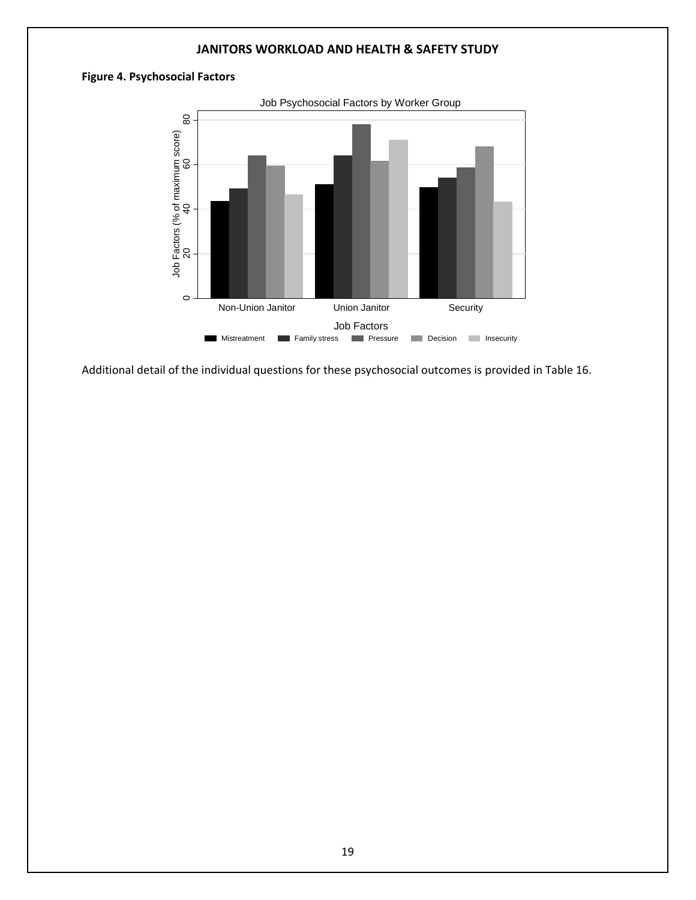### **Figure 4. Psychosocial Factors**



Additional detail of the individual questions for these psychosocial outcomes is provided in Table 16.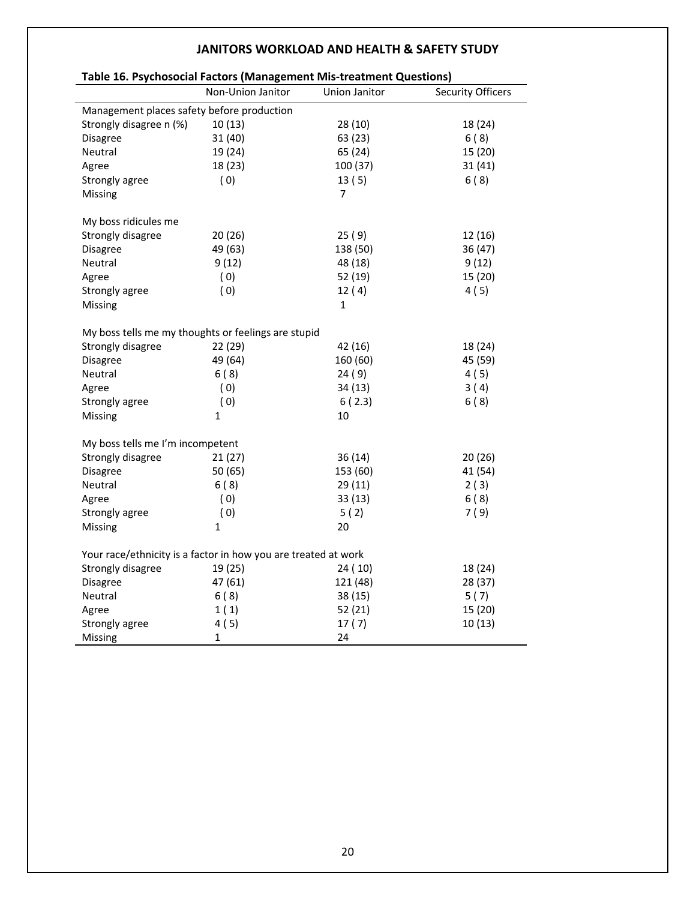| Table 16. Psychosocial Factors (Management Mis-treatment Questions) |                   |               |                          |
|---------------------------------------------------------------------|-------------------|---------------|--------------------------|
|                                                                     | Non-Union Janitor | Union Janitor | <b>Security Officers</b> |
| Management places safety before production                          |                   |               |                          |
| Strongly disagree n (%)                                             | 10(13)            | 28(10)        | 18 (24)                  |
| Disagree                                                            | 31(40)            | 63 (23)       | 6(8)                     |
| Neutral                                                             | 19 (24)           | 65 (24)       | 15 (20)                  |
| Agree                                                               | 18 (23)           | 100 (37)      | 31(41)                   |
| Strongly agree                                                      | (0)               | 13(5)         | 6(8)                     |
| Missing                                                             |                   | 7             |                          |
| My boss ridicules me                                                |                   |               |                          |
| Strongly disagree                                                   | 20(26)            | 25(9)         | 12 (16)                  |
| <b>Disagree</b>                                                     | 49 (63)           | 138 (50)      | 36 (47)                  |
| Neutral                                                             | 9(12)             | 48 (18)       | 9(12)                    |
| Agree                                                               | (0)               | 52 (19)       | 15 (20)                  |
| Strongly agree                                                      | (0)               | 12(4)         | 4(5)                     |
| Missing                                                             |                   | $\mathbf{1}$  |                          |
| My boss tells me my thoughts or feelings are stupid                 |                   |               |                          |
| Strongly disagree                                                   | 22 (29)           | 42 (16)       | 18 (24)                  |
| <b>Disagree</b>                                                     | 49 (64)           | 160 (60)      | 45 (59)                  |
| Neutral                                                             | 6(8)              | 24(9)         | 4(5)                     |
| Agree                                                               | (0)               | 34 (13)       | 3(4)                     |
| Strongly agree                                                      | (0)               | 6(2.3)        | 6(8)                     |
| Missing                                                             | $\mathbf{1}$      | 10            |                          |
| My boss tells me I'm incompetent                                    |                   |               |                          |
| Strongly disagree                                                   | 21(27)            | 36(14)        | 20(26)                   |
| Disagree                                                            | 50(65)            | 153 (60)      | 41 (54)                  |
| Neutral                                                             | 6(8)              | 29(11)        | 2(3)                     |
| Agree                                                               | (0)               | 33(13)        | 6(8)                     |
| Strongly agree                                                      | (0)               | 5(2)          | 7(9)                     |
| Missing                                                             | 1                 | 20            |                          |
| Your race/ethnicity is a factor in how you are treated at work      |                   |               |                          |
| Strongly disagree                                                   | 19 (25)           | 24(10)        | 18 (24)                  |
| <b>Disagree</b>                                                     | 47 (61)           | 121 (48)      | 28 (37)                  |
| Neutral                                                             | 6(8)              | 38(15)        | 5(7)                     |
| Agree                                                               | 1(1)              | 52(21)        | 15 (20)                  |
| Strongly agree                                                      | 4(5)              | 17(7)         | 10(13)                   |
| Missing                                                             | 1                 | 24            |                          |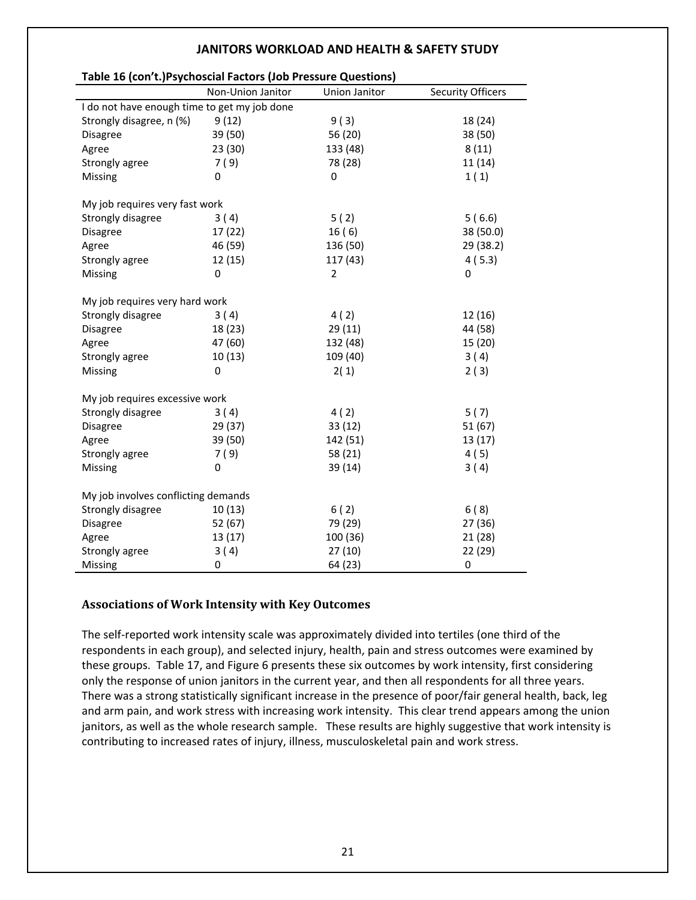| Table 16 (con't.) Psychoscial Factors (Job Pressure Questions) |                          |                      |                          |  |
|----------------------------------------------------------------|--------------------------|----------------------|--------------------------|--|
|                                                                | Non-Union Janitor        | <b>Union Janitor</b> | <b>Security Officers</b> |  |
| I do not have enough time to get my job done                   |                          |                      |                          |  |
| Strongly disagree, n (%)                                       | 9(12)                    | 9(3)                 | 18 (24)                  |  |
| <b>Disagree</b>                                                | 39 (50)                  | 56 (20)              | 38 (50)                  |  |
| Agree                                                          | 23(30)                   | 133 (48)             | 8(11)                    |  |
| Strongly agree                                                 | 7(9)                     | 78 (28)              | 11(14)                   |  |
| Missing                                                        | 0                        | 0                    | 1(1)                     |  |
| My job requires very fast work                                 |                          |                      |                          |  |
| Strongly disagree                                              | 3(4)                     | 5(2)                 | 5(6.6)                   |  |
| Disagree                                                       | 17(22)                   | 16(6)                | 38 (50.0)                |  |
| Agree                                                          | 46 (59)                  | 136 (50)             | 29 (38.2)                |  |
| Strongly agree                                                 | 12(15)                   | 117 (43)             | 4(5.3)                   |  |
| Missing                                                        | 0                        | $\overline{2}$       | 0                        |  |
|                                                                |                          |                      |                          |  |
| My job requires very hard work                                 |                          |                      |                          |  |
| Strongly disagree                                              | 3(4)<br>18 (23)          | 4(2)                 | 12 (16)<br>44 (58)       |  |
| <b>Disagree</b>                                                |                          | 29 (11)              |                          |  |
| Agree                                                          | 47 (60)                  | 132 (48)             | 15 (20)                  |  |
| Strongly agree                                                 | 10(13)<br>$\overline{0}$ | 109 (40)             | 3(4)                     |  |
| Missing                                                        |                          | 2(1)                 | 2(3)                     |  |
| My job requires excessive work                                 |                          |                      |                          |  |
| Strongly disagree                                              | 3(4)                     | 4(2)                 | 5(7)                     |  |
| <b>Disagree</b>                                                | 29 (37)                  | 33(12)               | 51(67)                   |  |
| Agree                                                          | 39 (50)                  | 142 (51)             | 13 (17)                  |  |
| Strongly agree                                                 | 7(9)                     | 58 (21)              | 4(5)                     |  |
| Missing                                                        | 0                        | 39 (14)              | 3(4)                     |  |
| My job involves conflicting demands                            |                          |                      |                          |  |
| Strongly disagree                                              | 10(13)                   | 6(2)                 | 6(8)                     |  |
| <b>Disagree</b>                                                | 52 (67)                  | 79 (29)              | 27 (36)                  |  |
| Agree                                                          | 13 (17)                  | 100 (36)             | 21(28)                   |  |
| Strongly agree                                                 | 3(4)                     | 27(10)               | 22 (29)                  |  |
| Missing                                                        | 0                        | 64 (23)              | 0                        |  |

# **Associations of Work Intensity with Key Outcomes**

The self‐reported work intensity scale was approximately divided into tertiles (one third of the respondents in each group), and selected injury, health, pain and stress outcomes were examined by these groups. Table 17, and Figure 6 presents these six outcomes by work intensity, first considering only the response of union janitors in the current year, and then all respondents for all three years. There was a strong statistically significant increase in the presence of poor/fair general health, back, leg and arm pain, and work stress with increasing work intensity. This clear trend appears among the union janitors, as well as the whole research sample. These results are highly suggestive that work intensity is contributing to increased rates of injury, illness, musculoskeletal pain and work stress.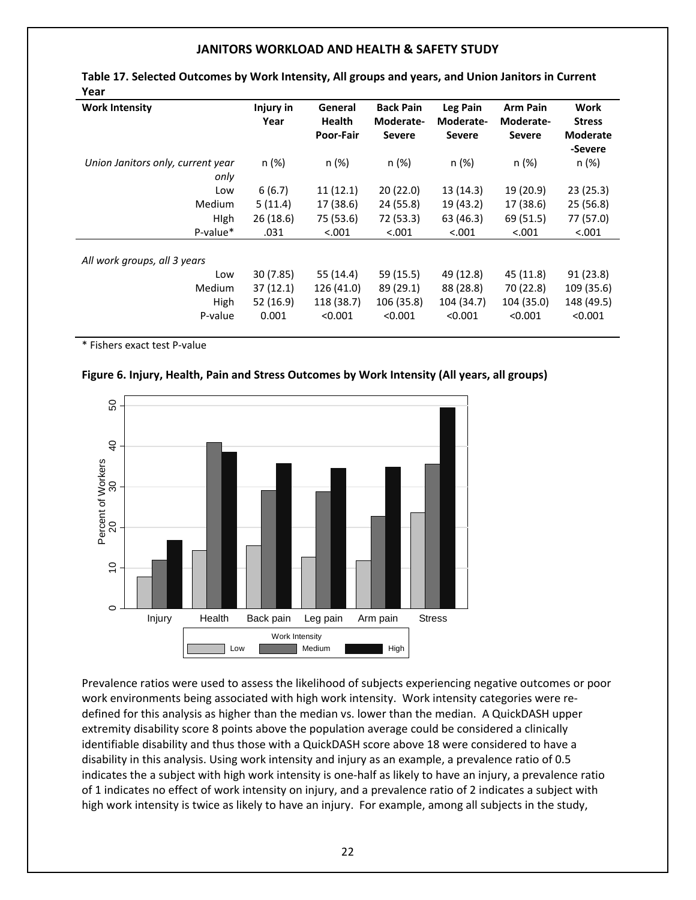| Year                              |                   |                          |                               |                       |                              |                       |
|-----------------------------------|-------------------|--------------------------|-------------------------------|-----------------------|------------------------------|-----------------------|
| <b>Work Intensity</b>             | Injury in<br>Year | General<br><b>Health</b> | <b>Back Pain</b><br>Moderate- | Leg Pain<br>Moderate- | <b>Arm Pain</b><br>Moderate- | Work<br><b>Stress</b> |
|                                   |                   | Poor-Fair                | <b>Severe</b>                 | <b>Severe</b>         | <b>Severe</b>                | <b>Moderate</b>       |
|                                   |                   |                          |                               |                       |                              | -Severe               |
| Union Janitors only, current year | n (%)             | n (%)                    | n(%)                          | n (%)                 | n (%)                        | n (%)                 |
| only                              |                   |                          |                               |                       |                              |                       |
| Low                               | 6(6.7)            | 11(12.1)                 | 20(22.0)                      | 13(14.3)              | 19 (20.9)                    | 23(25.3)              |
| Medium                            | 5(11.4)           | 17 (38.6)                | 24 (55.8)                     | 19 (43.2)             | 17 (38.6)                    | 25(56.8)              |
| <b>High</b>                       | 26(18.6)          | 75 (53.6)                | 72 (53.3)                     | 63 (46.3)             | 69 (51.5)                    | 77 (57.0)             |
| P-value*                          | .031              | < .001                   | < .001                        | < .001                | < .001                       | < .001                |
|                                   |                   |                          |                               |                       |                              |                       |
| All work groups, all 3 years      |                   |                          |                               |                       |                              |                       |
| Low                               | 30(7.85)          | 55 (14.4)                | 59 (15.5)                     | 49 (12.8)             | 45 (11.8)                    | 91(23.8)              |
| Medium                            | 37(12.1)          | 126 (41.0)               | 89 (29.1)                     | 88 (28.8)             | 70 (22.8)                    | 109 (35.6)            |
| High                              | 52 (16.9)         | 118 (38.7)               | 106 (35.8)                    | 104 (34.7)            | 104 (35.0)                   | 148 (49.5)            |
| P-value                           | 0.001             | < 0.001                  | < 0.001                       | < 0.001               | < 0.001                      | < 0.001               |
|                                   |                   |                          |                               |                       |                              |                       |

**Table 17. Selected Outcomes by Work Intensity, All groups and years, and Union Janitors in Current**

\* Fishers exact test P‐value

#### **Figure 6. Injury, Health, Pain and Stress Outcomes by Work Intensity (All years, all groups)**



Prevalence ratios were used to assess the likelihood of subjects experiencing negative outcomes or poor work environments being associated with high work intensity. Work intensity categories were redefined for this analysis as higher than the median vs. lower than the median. A QuickDASH upper extremity disability score 8 points above the population average could be considered a clinically identifiable disability and thus those with a QuickDASH score above 18 were considered to have a disability in this analysis. Using work intensity and injury as an example, a prevalence ratio of 0.5 indicates the a subject with high work intensity is one-half as likely to have an injury, a prevalence ratio of 1 indicates no effect of work intensity on injury, and a prevalence ratio of 2 indicates a subject with high work intensity is twice as likely to have an injury. For example, among all subjects in the study,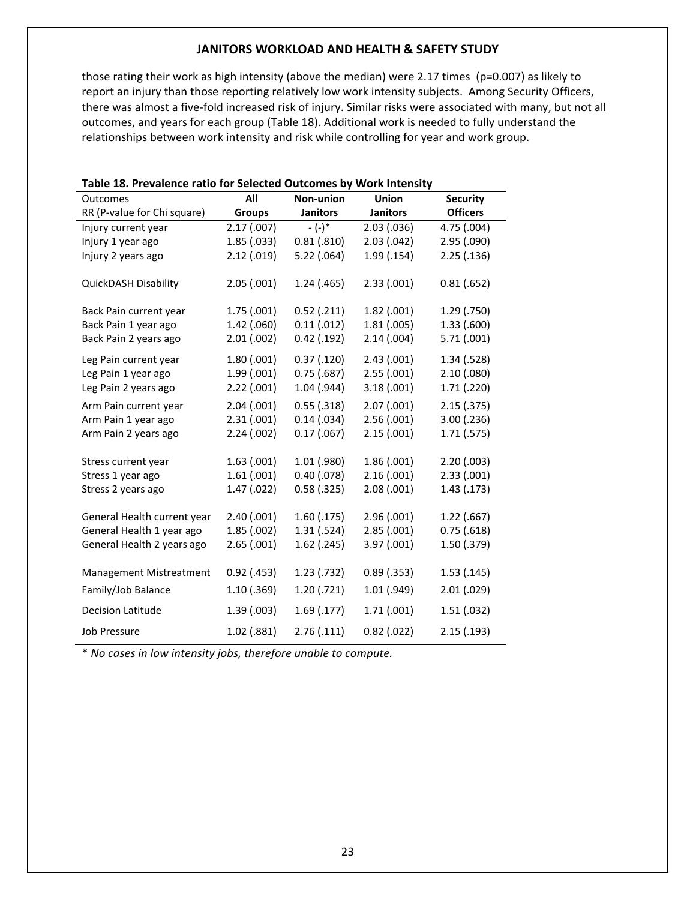those rating their work as high intensity (above the median) were 2.17 times (p=0.007) as likely to report an injury than those reporting relatively low work intensity subjects. Among Security Officers, there was almost a five-fold increased risk of injury. Similar risks were associated with many, but not all outcomes, and years for each group (Table 18). Additional work is needed to fully understand the relationships between work intensity and risk while controlling for year and work group.

| Outcomes                                                             | יש וטו טו<br>All                         | <br>Non-union                              | Union                                  | <b>Security</b>            |
|----------------------------------------------------------------------|------------------------------------------|--------------------------------------------|----------------------------------------|----------------------------|
| RR (P-value for Chi square)                                          | <b>Groups</b>                            | <b>Janitors</b>                            | <b>Janitors</b>                        | <b>Officers</b>            |
| Injury current year                                                  | 2.17(007)                                | $-(-)^*$                                   | 2.03(0.036)                            | 4.75 (.004)                |
| Injury 1 year ago                                                    | 1.85(.033)                               | 0.81(.810)                                 | 2.03(0.042)                            | 2.95 (.090)                |
| Injury 2 years ago                                                   | 2.12(.019)                               | $5.22$ (.064)                              | 1.99(0.154)                            | 2.25(.136)                 |
| QuickDASH Disability                                                 | 2.05(0.001)                              | 1.24(0.465)                                | 2.33(0.001)                            | 0.81(.652)                 |
| Back Pain current year                                               | 1.75(.001)                               | $0.52$ (.211)                              | 1.82(0.001)                            | 1.29 (.750)                |
| Back Pain 1 year ago                                                 | 1.42 (.060)                              | 0.11(012)                                  | 1.81(.005)                             | 1.33 (.600)                |
| Back Pain 2 years ago                                                | 2.01(.002)                               | $0.42$ (.192)                              | 2.14(0.004)                            | 5.71(.001)                 |
| Leg Pain current year<br>Leg Pain 1 year ago<br>Leg Pain 2 years ago | 1.80(0.001)<br>1.99(0.001)<br>2.22(.001) | 0.37(0.120)<br>0.75(.687)<br>$1.04$ (.944) | 2.43(001)<br>2.55(.001)<br>3.18(0.001) | 1.34 (.528)<br>2.10(0.080) |
|                                                                      |                                          |                                            |                                        | 1.71 (.220)                |
| Arm Pain current year                                                | 2.04(0.001)                              | 0.55(.318)                                 | 2.07(0.001)                            | 2.15(.375)                 |
| Arm Pain 1 year ago                                                  | 2.31(.001)                               | 0.14(0.034)                                | 2.56(0.001)                            | 3.00 (.236)                |
| Arm Pain 2 years ago                                                 | 2.24(002)                                | 0.17(0.067)                                | 2.15(.001)                             | 1.71 (.575)                |
| Stress current year                                                  | 1.63(0.001)                              | 1.01(0.980)                                | 1.86(0.001)                            | 2.20(0.003)                |
| Stress 1 year ago                                                    | 1.61(001)                                | $0.40$ (.078)                              | 2.16(0.001)                            | 2.33(0.001)                |
| Stress 2 years ago                                                   | 1.47(022)                                | $0.58$ (.325)                              | 2.08(0.001)                            | 1.43 (.173)                |
|                                                                      |                                          |                                            |                                        |                            |
| General Health current year                                          | 2.40(0.001)                              | 1.60(0.175)                                | 2.96(0.001)                            | $1.22$ (.667)              |
| General Health 1 year ago                                            | 1.85(0.002)                              | 1.31(.524)                                 | 2.85(.001)                             | 0.75(.618)                 |
| General Health 2 years ago                                           | 2.65(0.001)                              | $1.62$ (.245)                              | 3.97 (.001)                            | 1.50 (.379)                |
|                                                                      |                                          |                                            |                                        |                            |
| Management Mistreatment                                              | $0.92$ (.453)                            | 1.23( .732)                                | $0.89$ (.353)                          | 1.53(0.145)                |
| Family/Job Balance                                                   | 1.10(0.369)                              | 1.20(0.721)                                | 1.01 (.949)                            | 2.01 (.029)                |
| <b>Decision Latitude</b>                                             | 1.39(0.003)                              | 1.69(0.177)                                | 1.71(.001)                             | 1.51(0.032)                |
| <b>Job Pressure</b>                                                  | $1.02$ (.881)                            | 2.76(0.111)                                | $0.82$ (.022)                          | 2.15(0.193)                |

#### **Table 18. Prevalence ratio for Selected Outcomes by Work Intensity**

\* *No cases in low intensity jobs, therefore unable to compute.*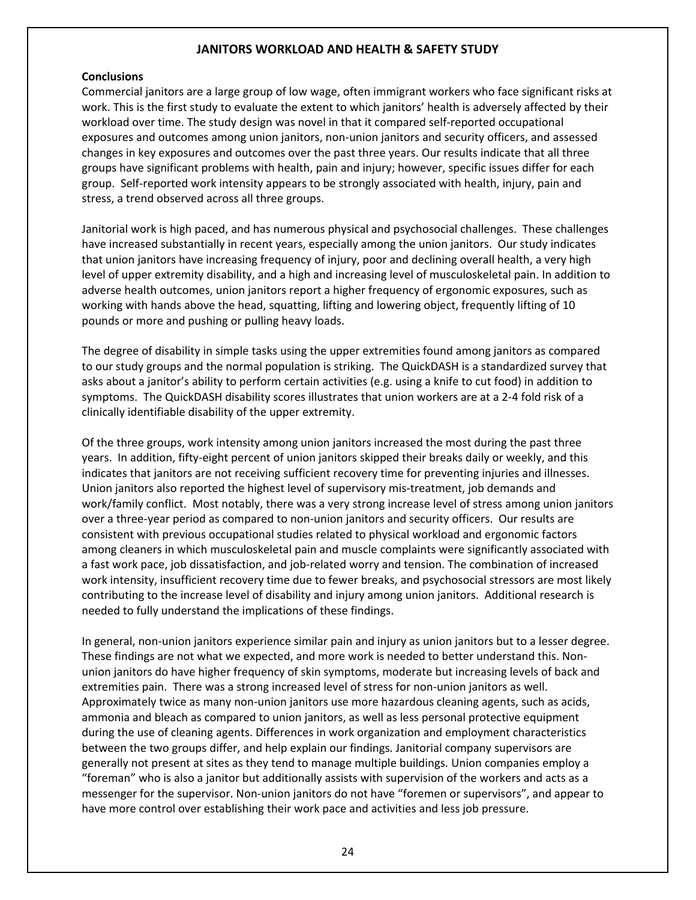#### **Conclusions**

Commercial janitors are a large group of low wage, often immigrant workers who face significant risks at work. This is the first study to evaluate the extent to which janitors' health is adversely affected by their workload over time. The study design was novel in that it compared self‐reported occupational exposures and outcomes among union janitors, non‐union janitors and security officers, and assessed changes in key exposures and outcomes over the past three years. Our results indicate that all three groups have significant problems with health, pain and injury; however, specific issues differ for each group. Self-reported work intensity appears to be strongly associated with health, injury, pain and stress, a trend observed across all three groups.

Janitorial work is high paced, and has numerous physical and psychosocial challenges. These challenges have increased substantially in recent years, especially among the union janitors. Our study indicates that union janitors have increasing frequency of injury, poor and declining overall health, a very high level of upper extremity disability, and a high and increasing level of musculoskeletal pain. In addition to adverse health outcomes, union janitors report a higher frequency of ergonomic exposures, such as working with hands above the head, squatting, lifting and lowering object, frequently lifting of 10 pounds or more and pushing or pulling heavy loads.

The degree of disability in simple tasks using the upper extremities found among janitors as compared to our study groups and the normal population is striking. The QuickDASH is a standardized survey that asks about a janitor's ability to perform certain activities (e.g. using a knife to cut food) in addition to symptoms. The QuickDASH disability scores illustrates that union workers are at a 2‐4 fold risk of a clinically identifiable disability of the upper extremity.

Of the three groups, work intensity among union janitors increased the most during the past three years. In addition, fifty-eight percent of union janitors skipped their breaks daily or weekly, and this indicates that janitors are not receiving sufficient recovery time for preventing injuries and illnesses. Union janitors also reported the highest level of supervisory mis‐treatment, job demands and work/family conflict. Most notably, there was a very strong increase level of stress among union janitors over a three‐year period as compared to non‐union janitors and security officers. Our results are consistent with previous occupational studies related to physical workload and ergonomic factors among cleaners in which musculoskeletal pain and muscle complaints were significantly associated with a fast work pace, job dissatisfaction, and job-related worry and tension. The combination of increased work intensity, insufficient recovery time due to fewer breaks, and psychosocial stressors are most likely contributing to the increase level of disability and injury among union janitors. Additional research is needed to fully understand the implications of these findings.

In general, non‐union janitors experience similar pain and injury as union janitors but to a lesser degree. These findings are not what we expected, and more work is needed to better understand this. Non‐ union janitors do have higher frequency of skin symptoms, moderate but increasing levels of back and extremities pain. There was a strong increased level of stress for non-union janitors as well. Approximately twice as many non‐union janitors use more hazardous cleaning agents, such as acids, ammonia and bleach as compared to union janitors, as well as less personal protective equipment during the use of cleaning agents. Differences in work organization and employment characteristics between the two groups differ, and help explain our findings. Janitorial company supervisors are generally not present at sites as they tend to manage multiple buildings. Union companies employ a "foreman" who is also a janitor but additionally assists with supervision of the workers and acts as a messenger for the supervisor. Non-union janitors do not have "foremen or supervisors", and appear to have more control over establishing their work pace and activities and less job pressure.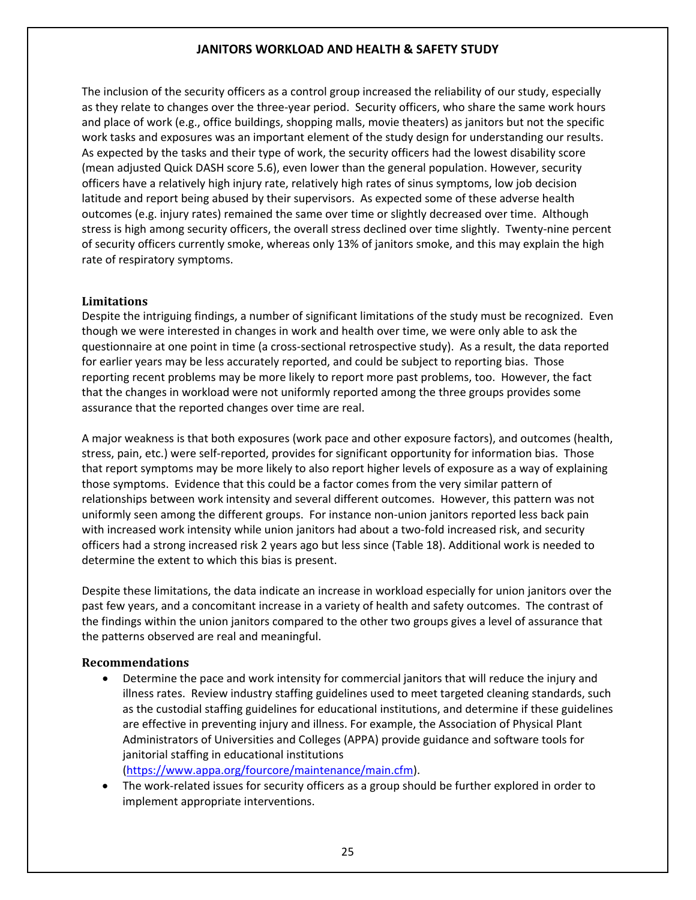The inclusion of the security officers as a control group increased the reliability of our study, especially as they relate to changes over the three-year period. Security officers, who share the same work hours and place of work (e.g., office buildings, shopping malls, movie theaters) as janitors but not the specific work tasks and exposures was an important element of the study design for understanding our results. As expected by the tasks and their type of work, the security officers had the lowest disability score (mean adjusted Quick DASH score 5.6), even lower than the general population. However, security officers have a relatively high injury rate, relatively high rates of sinus symptoms, low job decision latitude and report being abused by their supervisors. As expected some of these adverse health outcomes (e.g. injury rates) remained the same over time or slightly decreased over time. Although stress is high among security officers, the overall stress declined over time slightly. Twenty-nine percent of security officers currently smoke, whereas only 13% of janitors smoke, and this may explain the high rate of respiratory symptoms.

#### **Limitations**

Despite the intriguing findings, a number of significant limitations of the study must be recognized. Even though we were interested in changes in work and health over time, we were only able to ask the questionnaire at one point in time (a cross-sectional retrospective study). As a result, the data reported for earlier years may be less accurately reported, and could be subject to reporting bias. Those reporting recent problems may be more likely to report more past problems, too. However, the fact that the changes in workload were not uniformly reported among the three groups provides some assurance that the reported changes over time are real.

A major weakness is that both exposures (work pace and other exposure factors), and outcomes (health, stress, pain, etc.) were self‐reported, provides for significant opportunity for information bias. Those that report symptoms may be more likely to also report higher levels of exposure as a way of explaining those symptoms. Evidence that this could be a factor comes from the very similar pattern of relationships between work intensity and several different outcomes. However, this pattern was not uniformly seen among the different groups. For instance non-union janitors reported less back pain with increased work intensity while union janitors had about a two-fold increased risk, and security officers had a strong increased risk 2 years ago but less since (Table 18). Additional work is needed to determine the extent to which this bias is present.

Despite these limitations, the data indicate an increase in workload especially for union janitors over the past few years, and a concomitant increase in a variety of health and safety outcomes. The contrast of the findings within the union janitors compared to the other two groups gives a level of assurance that the patterns observed are real and meaningful.

#### **Recommendations**

 Determine the pace and work intensity for commercial janitors that will reduce the injury and illness rates. Review industry staffing guidelines used to meet targeted cleaning standards, such as the custodial staffing guidelines for educational institutions, and determine if these guidelines are effective in preventing injury and illness. For example, the Association of Physical Plant Administrators of Universities and Colleges (APPA) provide guidance and software tools for janitorial staffing in educational institutions

(https://www.appa.org/fourcore/maintenance/main.cfm).

● The work-related issues for security officers as a group should be further explored in order to implement appropriate interventions.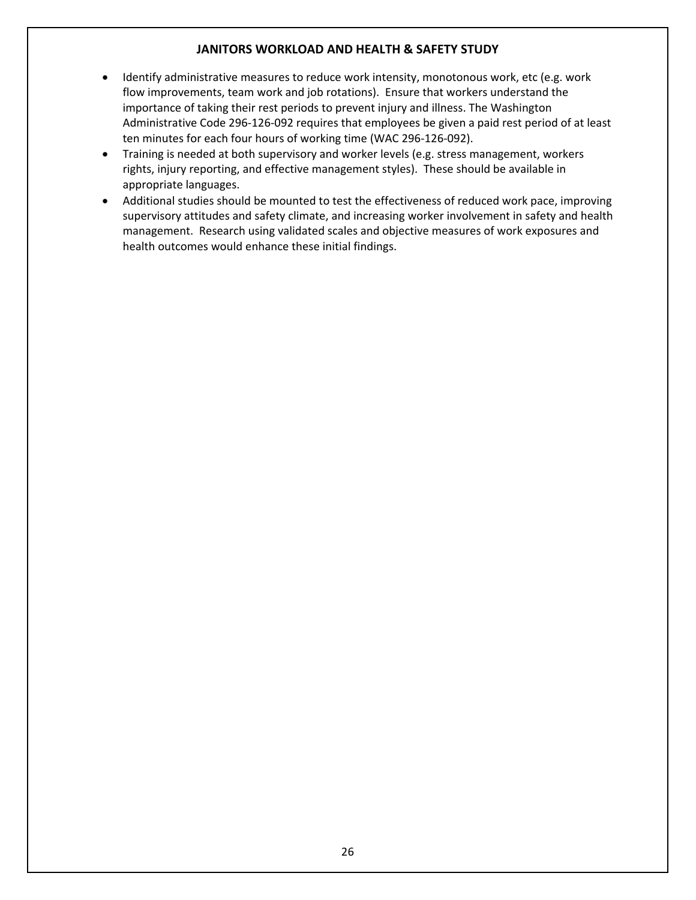- Identify administrative measures to reduce work intensity, monotonous work, etc (e.g. work flow improvements, team work and job rotations). Ensure that workers understand the importance of taking their rest periods to prevent injury and illness. The Washington Administrative Code 296‐126‐092 requires that employees be given a paid rest period of at least ten minutes for each four hours of working time (WAC 296‐126‐092).
- Training is needed at both supervisory and worker levels (e.g. stress management, workers rights, injury reporting, and effective management styles). These should be available in appropriate languages.
- Additional studies should be mounted to test the effectiveness of reduced work pace, improving supervisory attitudes and safety climate, and increasing worker involvement in safety and health management. Research using validated scales and objective measures of work exposures and health outcomes would enhance these initial findings.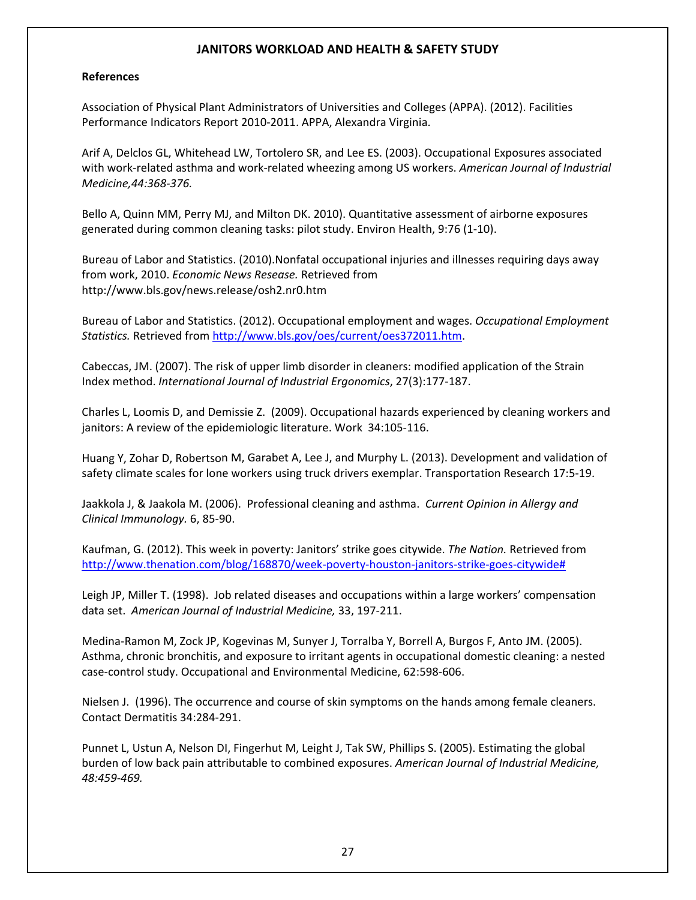#### **References**

Association of Physical Plant Administrators of Universities and Colleges (APPA). (2012). Facilities Performance Indicators Report 2010‐2011. APPA, Alexandra Virginia.

Arif A, Delclos GL, Whitehead LW, Tortolero SR, and Lee ES. (2003). Occupational Exposures associated with work‐related asthma and work‐related wheezing among US workers. *American Journal of Industrial Medicine,44:368‐376.*

Bello A, Quinn MM, Perry MJ, and Milton DK. 2010). Quantitative assessment of airborne exposures generated during common cleaning tasks: pilot study. Environ Health, 9:76 (1‐10).

Bureau of Labor and Statistics. (2010).Nonfatal occupational injuries and illnesses requiring days away from work, 2010. *Economic News Resease.* Retrieved from http://www.bls.gov/news.release/osh2.nr0.htm

Bureau of Labor and Statistics. (2012). Occupational employment and wages. *Occupational Employment Statistics.* Retrieved from http://www.bls.gov/oes/current/oes372011.htm.

Cabeccas, JM. (2007). The risk of upper limb disorder in cleaners: modified application of the Strain Index method. *International Journal of Industrial Ergonomics*, 27(3):177‐187.

Charles L, Loomis D, and Demissie Z. (2009). Occupational hazards experienced by cleaning workers and janitors: A review of the epidemiologic literature. Work 34:105-116.

Huang Y, Zohar D, Robertson M, Garabet A, Lee J, and Murphy L. (2013). Development and validation of safety climate scales for lone workers using truck drivers exemplar. Transportation Research 17:5‐19.

Jaakkola J, & Jaakola M. (2006). Professional cleaning and asthma. *Current Opinion in Allergy and Clinical Immunology.* 6, 85‐90.

Kaufman, G. (2012). This week in poverty: Janitors' strike goes citywide. *The Nation.* Retrieved from http://www.thenation.com/blog/168870/week‐poverty‐houston‐janitors‐strike‐goes‐citywide#

Leigh JP, Miller T. (1998). Job related diseases and occupations within a large workers' compensation data set. *American Journal of Industrial Medicine,* 33, 197‐211.

Medina‐Ramon M, Zock JP, Kogevinas M, Sunyer J, Torralba Y, Borrell A, Burgos F, Anto JM. (2005). Asthma, chronic bronchitis, and exposure to irritant agents in occupational domestic cleaning: a nested case‐control study. Occupational and Environmental Medicine, 62:598‐606.

Nielsen J. (1996). The occurrence and course of skin symptoms on the hands among female cleaners. Contact Dermatitis 34:284‐291.

Punnet L, Ustun A, Nelson DI, Fingerhut M, Leight J, Tak SW, Phillips S. (2005). Estimating the global burden of low back pain attributable to combined exposures. *American Journal of Industrial Medicine, 48:459‐469.*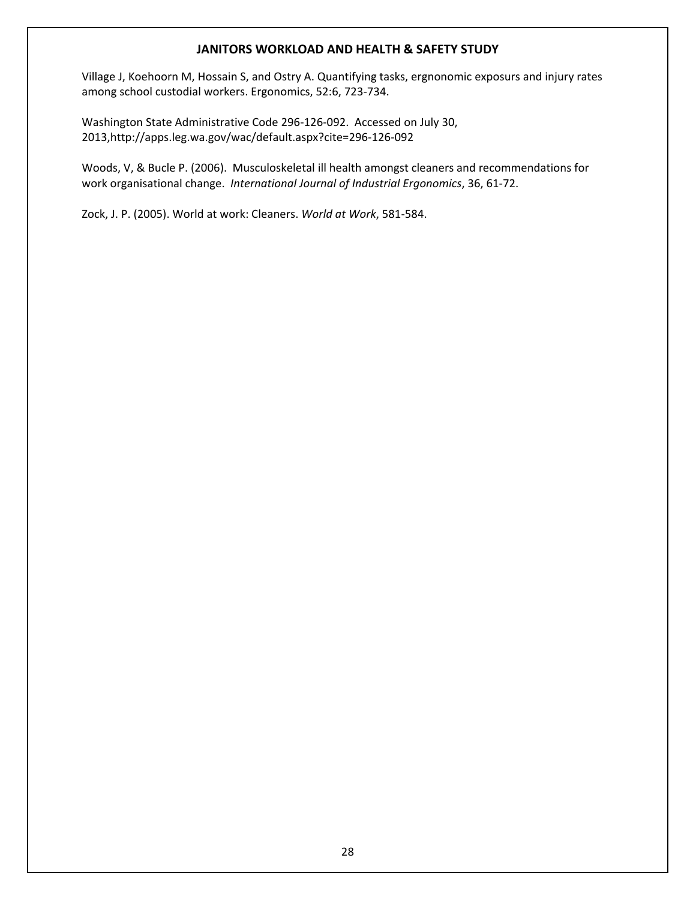Village J, Koehoorn M, Hossain S, and Ostry A. Quantifying tasks, ergnonomic exposurs and injury rates among school custodial workers. Ergonomics, 52:6, 723‐734.

Washington State Administrative Code 296‐126‐092. Accessed on July 30, 2013,http://apps.leg.wa.gov/wac/default.aspx?cite=296‐126‐092

Woods, V, & Bucle P. (2006). Musculoskeletal ill health amongst cleaners and recommendations for work organisational change. *International Journal of Industrial Ergonomics*, 36, 61‐72.

Zock, J. P. (2005). World at work: Cleaners. *World at Work*, 581‐584.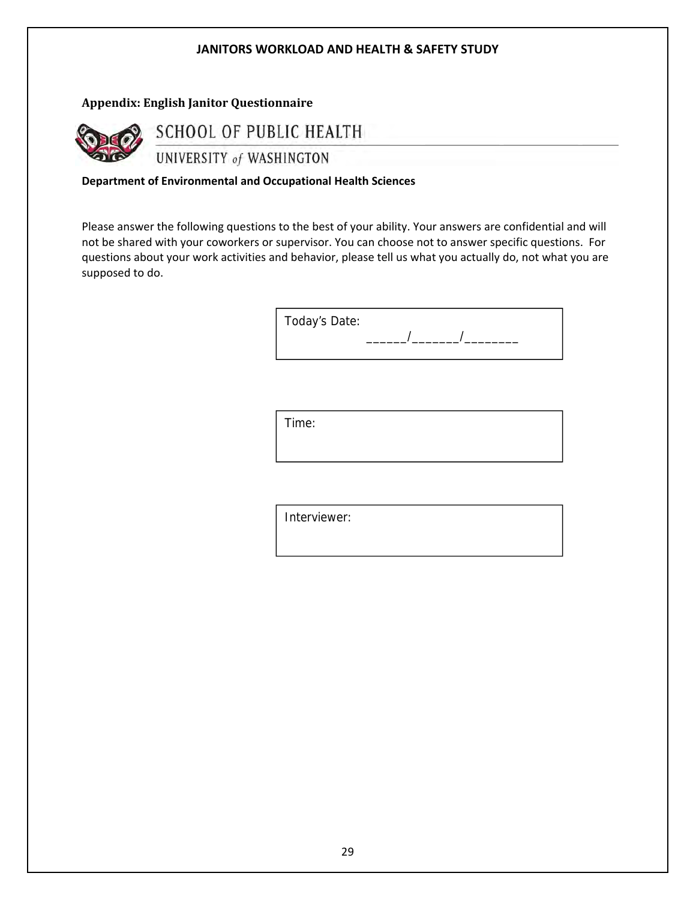#### **Appendix: English Janitor Questionnaire**



SCHOOL OF PUBLIC HEALTH

UNIVERSITY of WASHINGTON

**Department of Environmental and Occupational Health Sciences**

Please answer the following questions to the best of your ability. Your answers are confidential and will not be shared with your coworkers or supervisor. You can choose not to answer specific questions. For questions about your work activities and behavior, please tell us what you actually do, not what you are supposed to do.

| Today's Date: |  |  |
|---------------|--|--|
|               |  |  |
|               |  |  |

Time:

Interviewer: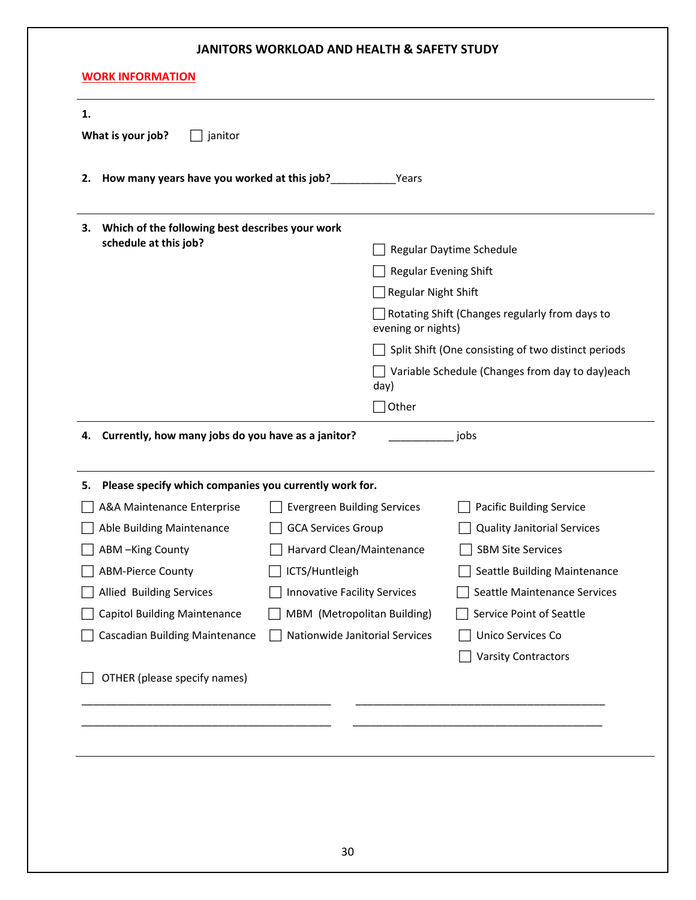| 2. | How many years have you worked at this job?            |                                    | Years                        |                                                     |
|----|--------------------------------------------------------|------------------------------------|------------------------------|-----------------------------------------------------|
| з. | Which of the following best describes your work        |                                    |                              |                                                     |
|    | schedule at this job?                                  |                                    |                              | Regular Daytime Schedule                            |
|    |                                                        |                                    | <b>Regular Evening Shift</b> |                                                     |
|    |                                                        |                                    | <b>Regular Night Shift</b>   |                                                     |
|    |                                                        |                                    | evening or nights)           | Rotating Shift (Changes regularly from days to      |
|    |                                                        |                                    |                              | Split Shift (One consisting of two distinct periods |
|    |                                                        |                                    | day)                         | Variable Schedule (Changes from day to day)each     |
|    |                                                        |                                    | $\exists$ Other              |                                                     |
| 5. | Please specify which companies you currently work for. |                                    |                              |                                                     |
|    | A&A Maintenance Enterprise                             | <b>Evergreen Building Services</b> |                              | <b>Pacific Building Service</b>                     |
|    | Able Building Maintenance                              | <b>GCA Services Group</b>          |                              | <b>Quality Janitorial Services</b>                  |
|    | ABM-King County                                        | Harvard Clean/Maintenance          |                              | <b>SBM Site Services</b>                            |
|    | <b>ABM-Pierce County</b>                               | ICTS/Huntleigh                     |                              | Seattle Building Maintenance                        |
|    | Allied Building Services                               | Innovative Facility Services       |                              | Seattle Maintenance Services                        |
|    | <b>Capitol Building Maintenance</b>                    | MBM (Metropolitan Building)        |                              | Service Point of Seattle                            |
|    | <b>Cascadian Building Maintenance</b>                  | Nationwide Janitorial Services     |                              | Unico Services Co                                   |
|    |                                                        |                                    |                              | <b>Varsity Contractors</b>                          |
|    |                                                        |                                    |                              |                                                     |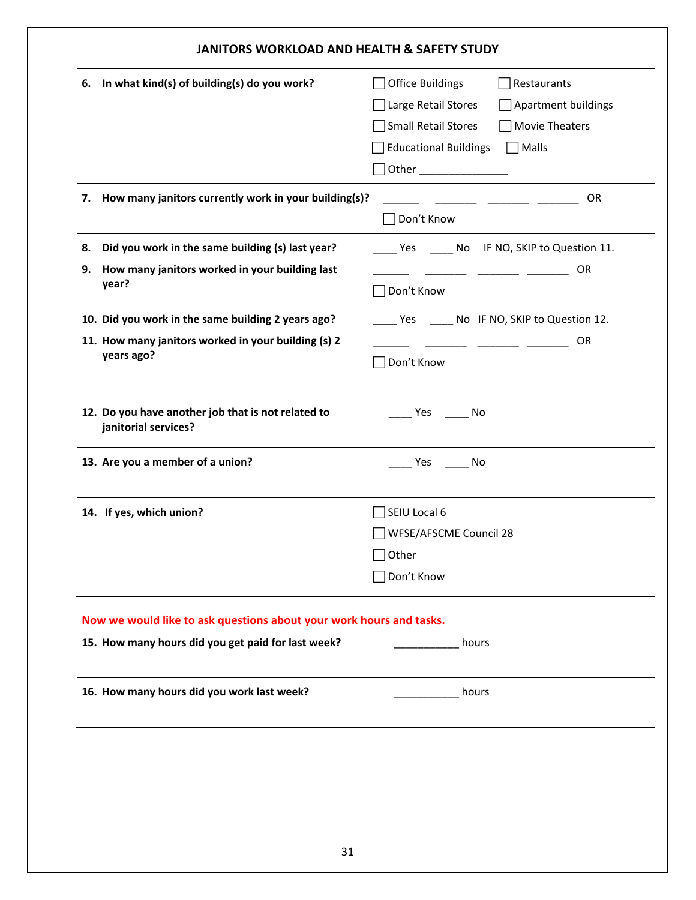| 6. | In what kind(s) of building(s) do you work?                         | Office Buildings<br>Restaurants                 |
|----|---------------------------------------------------------------------|-------------------------------------------------|
|    |                                                                     | Large Retail Stores<br>Apartment buildings      |
|    |                                                                     | Small Retail Stores<br>Movie Theaters           |
|    |                                                                     | <b>Educational Buildings</b><br>Malls           |
|    |                                                                     | Other ________________                          |
|    | 7. How many janitors currently work in your building(s)?            | <b>OR</b>                                       |
|    |                                                                     | Don't Know                                      |
| 8. | Did you work in the same building (s) last year?                    | Yes _______ No IF NO, SKIP to Question 11.      |
| 9. | How many janitors worked in your building last                      | OR                                              |
|    | year?                                                               | Don't Know                                      |
|    | 10. Did you work in the same building 2 years ago?                  | _____ Yes ______ No IF NO, SKIP to Question 12. |
|    | 11. How many janitors worked in your building (s) 2                 | OR                                              |
|    | years ago?                                                          | Don't Know                                      |
|    |                                                                     |                                                 |
|    | 12. Do you have another job that is not related to                  | Yes No                                          |
|    | janitorial services?                                                |                                                 |
|    | 13. Are you a member of a union?                                    | _ Yes _______ No                                |
|    |                                                                     |                                                 |
|    | 14. If yes, which union?                                            | SEIU Local 6                                    |
|    |                                                                     | WFSE/AFSCME Council 28                          |
|    |                                                                     | Other                                           |
|    |                                                                     | Don't Know                                      |
|    |                                                                     |                                                 |
|    | Now we would like to ask questions about your work hours and tasks. |                                                 |
|    | 15. How many hours did you get paid for last week?                  | hours                                           |
|    | 16. How many hours did you work last week?                          | hours                                           |
|    |                                                                     |                                                 |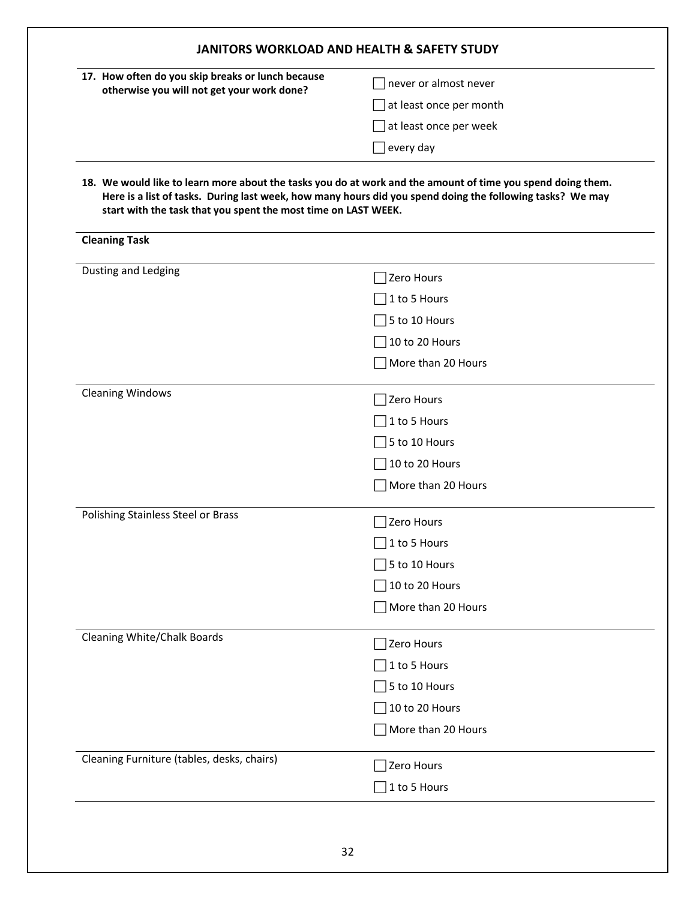| 17. How often do you skip breaks or lunch because              | never or almost never                                                                                                                                                                                                    |
|----------------------------------------------------------------|--------------------------------------------------------------------------------------------------------------------------------------------------------------------------------------------------------------------------|
| otherwise you will not get your work done?                     | at least once per month                                                                                                                                                                                                  |
|                                                                | at least once per week                                                                                                                                                                                                   |
|                                                                | every day                                                                                                                                                                                                                |
| start with the task that you spent the most time on LAST WEEK. | 18. We would like to learn more about the tasks you do at work and the amount of time you spend doing them.<br>Here is a list of tasks. During last week, how many hours did you spend doing the following tasks? We may |
| <b>Cleaning Task</b>                                           |                                                                                                                                                                                                                          |
| Dusting and Ledging                                            | Zero Hours                                                                                                                                                                                                               |
|                                                                | 1 to 5 Hours                                                                                                                                                                                                             |
|                                                                | 5 to 10 Hours                                                                                                                                                                                                            |
|                                                                | 10 to 20 Hours                                                                                                                                                                                                           |
|                                                                | More than 20 Hours                                                                                                                                                                                                       |
| <b>Cleaning Windows</b>                                        | Zero Hours                                                                                                                                                                                                               |
|                                                                | 1 to 5 Hours                                                                                                                                                                                                             |
|                                                                | 5 to 10 Hours                                                                                                                                                                                                            |
|                                                                | 10 to 20 Hours                                                                                                                                                                                                           |
|                                                                | More than 20 Hours                                                                                                                                                                                                       |
| Polishing Stainless Steel or Brass                             | Zero Hours                                                                                                                                                                                                               |
|                                                                | 1 to 5 Hours                                                                                                                                                                                                             |
|                                                                | 5 to 10 Hours                                                                                                                                                                                                            |
|                                                                | 10 to 20 Hours                                                                                                                                                                                                           |
|                                                                | More than 20 Hours                                                                                                                                                                                                       |
| <b>Cleaning White/Chalk Boards</b>                             | Zero Hours                                                                                                                                                                                                               |
|                                                                | 1 to 5 Hours                                                                                                                                                                                                             |
|                                                                | 5 to 10 Hours                                                                                                                                                                                                            |
|                                                                | 10 to 20 Hours                                                                                                                                                                                                           |
|                                                                | More than 20 Hours                                                                                                                                                                                                       |
| Cleaning Furniture (tables, desks, chairs)                     | Zero Hours                                                                                                                                                                                                               |
|                                                                |                                                                                                                                                                                                                          |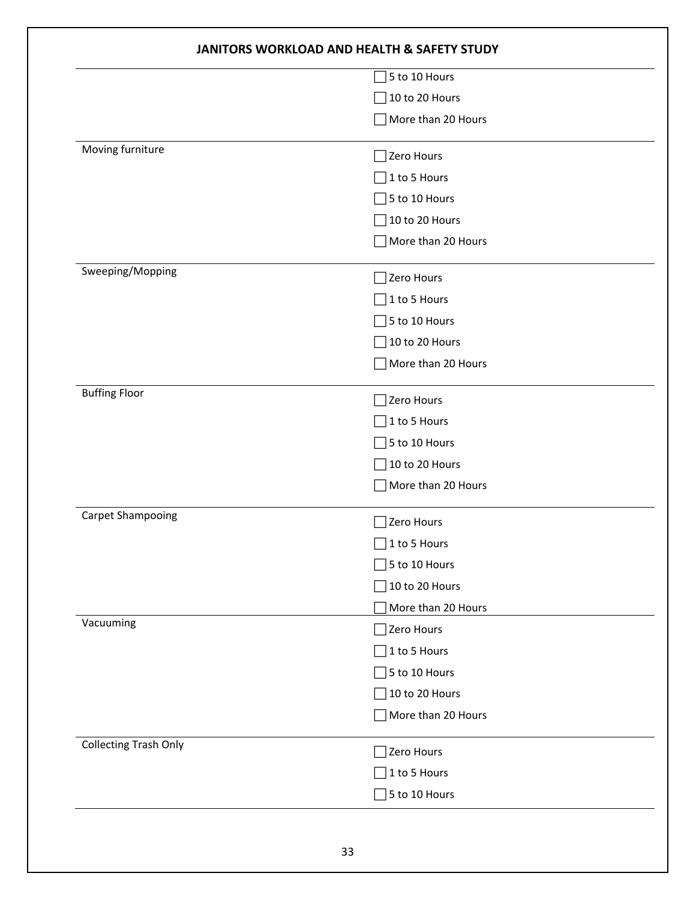|                              | 5 to 10 Hours      |  |
|------------------------------|--------------------|--|
|                              | 10 to 20 Hours     |  |
|                              | More than 20 Hours |  |
| Moving furniture             | Zero Hours         |  |
|                              | 1 to 5 Hours       |  |
|                              | 5 to 10 Hours      |  |
|                              | 10 to 20 Hours     |  |
|                              | More than 20 Hours |  |
| Sweeping/Mopping             | Zero Hours         |  |
|                              | 1 to 5 Hours       |  |
|                              | 5 to 10 Hours      |  |
|                              | 10 to 20 Hours     |  |
|                              | More than 20 Hours |  |
| <b>Buffing Floor</b>         | Zero Hours         |  |
|                              | 1 to 5 Hours       |  |
|                              | 5 to 10 Hours      |  |
|                              | 10 to 20 Hours     |  |
|                              | More than 20 Hours |  |
| Carpet Shampooing            | Zero Hours         |  |
|                              | 1 to 5 Hours       |  |
|                              | 5 to 10 Hours      |  |
|                              | 10 to 20 Hours     |  |
|                              | More than 20 Hours |  |
| Vacuuming                    | Zero Hours         |  |
|                              | 1 to 5 Hours       |  |
|                              | 5 to 10 Hours      |  |
|                              | 10 to 20 Hours     |  |
|                              | More than 20 Hours |  |
| <b>Collecting Trash Only</b> | Zero Hours         |  |
|                              | 1 to 5 Hours       |  |
|                              | 5 to 10 Hours      |  |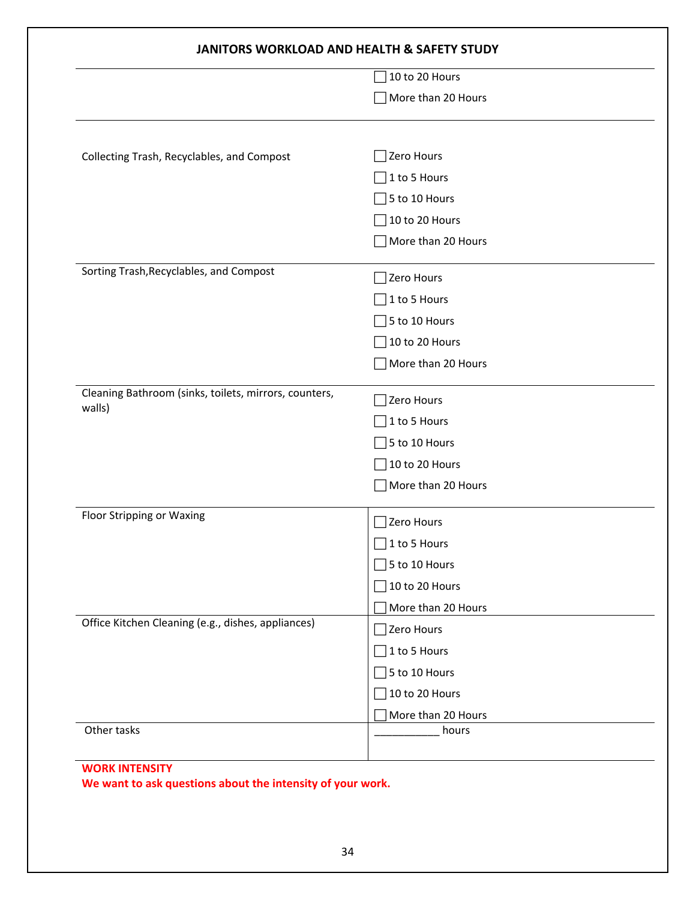|                                                       | 10 to 20 Hours          |  |
|-------------------------------------------------------|-------------------------|--|
|                                                       | More than 20 Hours      |  |
|                                                       |                         |  |
| Collecting Trash, Recyclables, and Compost            | Zero Hours              |  |
|                                                       | 1 to 5 Hours            |  |
|                                                       | 5 to 10 Hours           |  |
|                                                       | 10 to 20 Hours          |  |
|                                                       | More than 20 Hours      |  |
| Sorting Trash, Recyclables, and Compost               | Zero Hours              |  |
|                                                       | 1 to 5 Hours            |  |
|                                                       | 5 to 10 Hours           |  |
|                                                       | 10 to 20 Hours          |  |
|                                                       | More than 20 Hours      |  |
| Cleaning Bathroom (sinks, toilets, mirrors, counters, | Zero Hours              |  |
| walls)                                                | 1 to 5 Hours            |  |
|                                                       | 5 to 10 Hours           |  |
|                                                       | 10 to 20 Hours          |  |
|                                                       | More than 20 Hours      |  |
| Floor Stripping or Waxing                             | Zero Hours              |  |
|                                                       | 1 to 5 Hours            |  |
|                                                       | $\sqrt{5}$ to 10 Hours  |  |
|                                                       | $\vert$ 10 to 20 Hours  |  |
|                                                       | More than 20 Hours      |  |
| Office Kitchen Cleaning (e.g., dishes, appliances)    | Zero Hours              |  |
|                                                       | $\lceil$ 1 to 5 Hours   |  |
|                                                       | $\sqrt{5}$ to 10 Hours  |  |
|                                                       | $\left]$ 10 to 20 Hours |  |
|                                                       | More than 20 Hours      |  |
| Other tasks                                           | hours                   |  |

## **We want to ask questions about the intensity of your work.**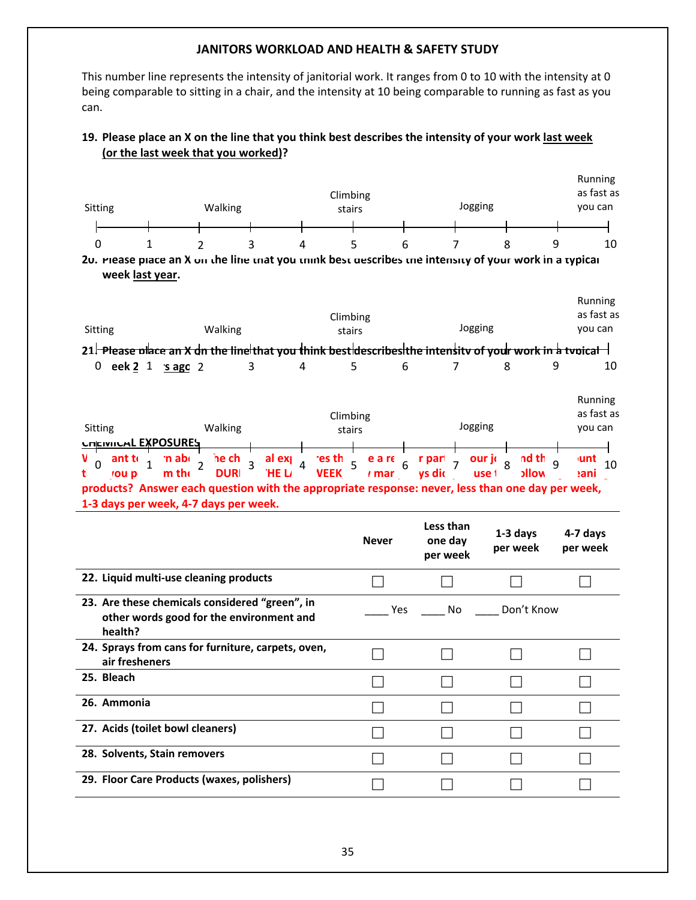This number line represents the intensity of janitorial work. It ranges from 0 to 10 with the intensity at 0 being comparable to sitting in a chair, and the intensity at 10 being comparable to running as fast as you can.

#### 19. Please place an X on the line that you think best describes the intensity of your work last week **(or the last week that you worked)?**

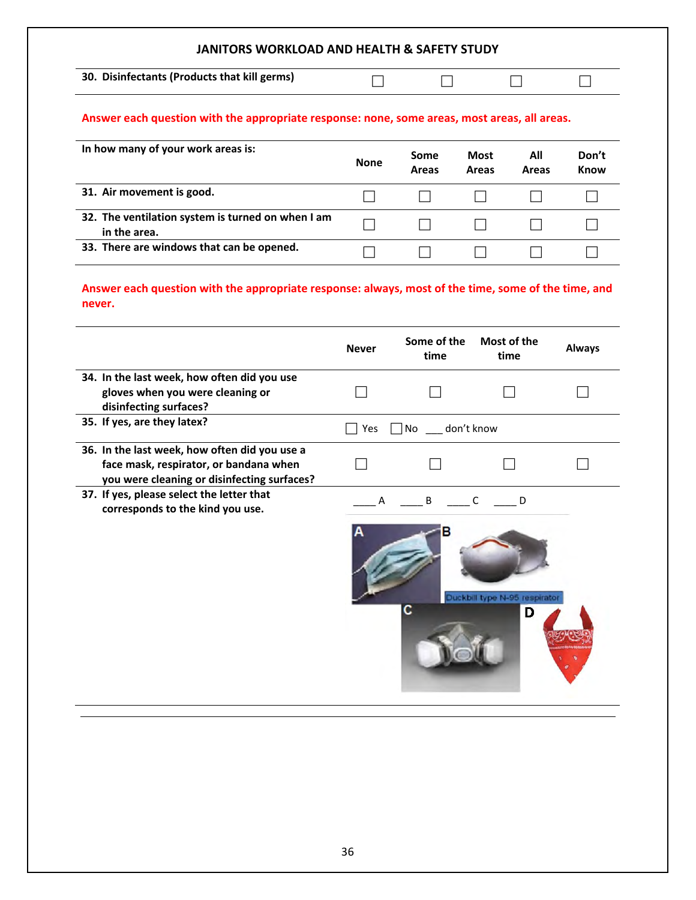**30. Disinfectants (Products that kill germs)**

#### **Answer each question with the appropriate response: none, some areas, most areas, all areas.**

| In how many of your work areas is:                                | <b>None</b> | Some<br>Areas | <b>Most</b><br>Areas | All<br>Areas | Don't<br><b>Know</b> |
|-------------------------------------------------------------------|-------------|---------------|----------------------|--------------|----------------------|
| 31. Air movement is good.                                         |             |               |                      |              |                      |
| 32. The ventilation system is turned on when I am<br>in the area. |             |               |                      |              |                      |
| 33. There are windows that can be opened.                         |             |               |                      |              |                      |

**Answer each question with the appropriate response: always, most of the time, some of the time, and never.**

|                                                                                                                                        | <b>Never</b> | Some of the<br>time | Most of the<br>time                          | <b>Always</b> |
|----------------------------------------------------------------------------------------------------------------------------------------|--------------|---------------------|----------------------------------------------|---------------|
| 34. In the last week, how often did you use<br>gloves when you were cleaning or<br>disinfecting surfaces?                              |              |                     |                                              |               |
| 35. If yes, are they latex?                                                                                                            | Yes          | No don't know       |                                              |               |
| 36. In the last week, how often did you use a<br>face mask, respirator, or bandana when<br>you were cleaning or disinfecting surfaces? |              |                     |                                              |               |
| 37. If yes, please select the letter that<br>corresponds to the kind you use.                                                          | А            | B<br>с              | C<br>D<br>Duckbill type N-95 respirator<br>D |               |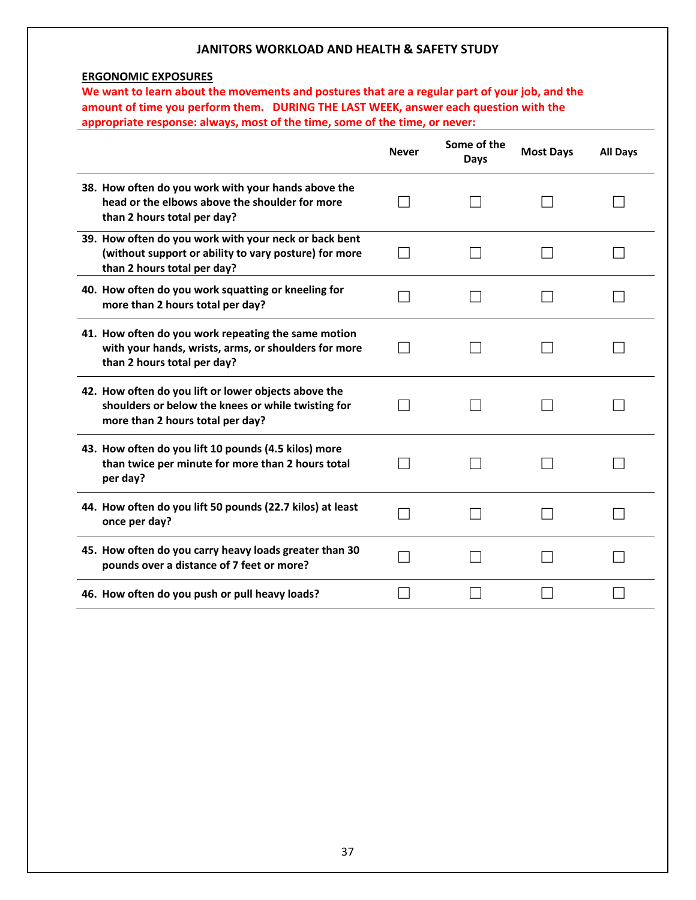#### **ERGONOMIC EXPOSURES**

We want to learn about the movements and postures that are a regular part of your job, and the **amount of time you perform them. DURING THE LAST WEEK, answer each question with the appropriate response: always, most of the time, some of the time, or never:**

|                                                                                                                                                | <b>Never</b> | Some of the<br>Days | <b>Most Days</b> | <b>All Days</b> |
|------------------------------------------------------------------------------------------------------------------------------------------------|--------------|---------------------|------------------|-----------------|
| 38. How often do you work with your hands above the<br>head or the elbows above the shoulder for more<br>than 2 hours total per day?           |              |                     |                  |                 |
| 39. How often do you work with your neck or back bent<br>(without support or ability to vary posture) for more<br>than 2 hours total per day?  |              |                     |                  |                 |
| 40. How often do you work squatting or kneeling for<br>more than 2 hours total per day?                                                        |              |                     |                  |                 |
| 41. How often do you work repeating the same motion<br>with your hands, wrists, arms, or shoulders for more<br>than 2 hours total per day?     |              |                     |                  |                 |
| 42. How often do you lift or lower objects above the<br>shoulders or below the knees or while twisting for<br>more than 2 hours total per day? |              |                     |                  |                 |
| 43. How often do you lift 10 pounds (4.5 kilos) more<br>than twice per minute for more than 2 hours total<br>per day?                          |              |                     |                  |                 |
| 44. How often do you lift 50 pounds (22.7 kilos) at least<br>once per day?                                                                     |              |                     |                  |                 |
| 45. How often do you carry heavy loads greater than 30<br>pounds over a distance of 7 feet or more?                                            |              |                     |                  |                 |
| 46. How often do you push or pull heavy loads?                                                                                                 |              |                     |                  |                 |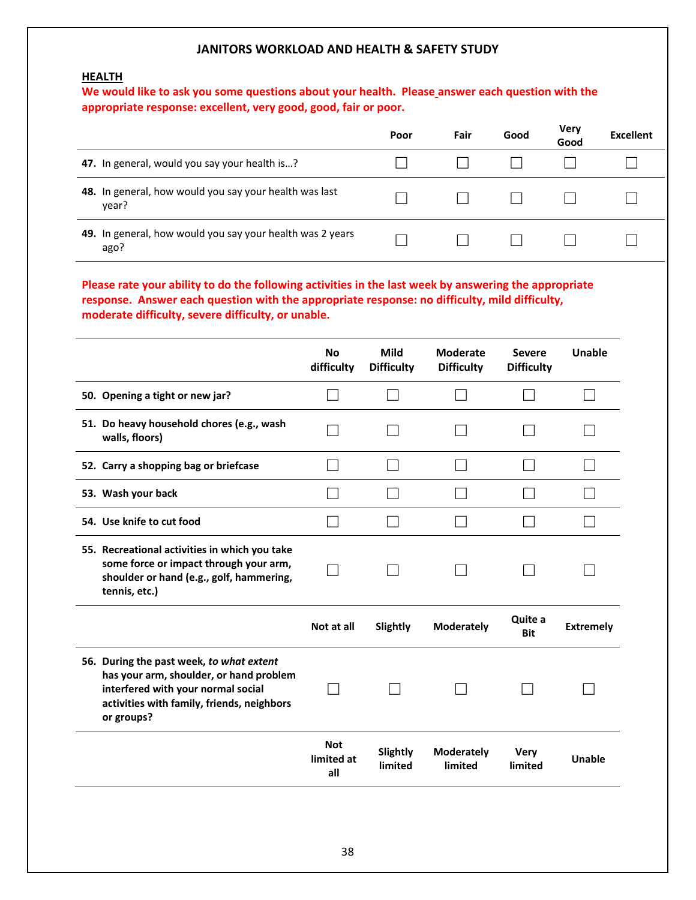#### **HEALTH**

#### **We would like to ask you some questions about your health. Please answer each question with the appropriate response: excellent, very good, good, fair or poor.**

|                                                                   | Poor | Fair | Good | Very<br>Good | <b>Excellent</b> |
|-------------------------------------------------------------------|------|------|------|--------------|------------------|
| 47. In general, would you say your health is?                     |      |      |      |              |                  |
| 48. In general, how would you say your health was last<br>year?   |      |      |      |              |                  |
| 49. In general, how would you say your health was 2 years<br>ago? |      |      |      |              |                  |

#### **Please rate your ability to do the following activities in the last week by answering the appropriate response. Answer each question with the appropriate response: no difficulty, mild difficulty, moderate difficulty, severe difficulty, or unable.**

|                                                                                                                                                                                       | <b>No</b><br>difficulty         | <b>Mild</b><br><b>Difficulty</b> | <b>Moderate</b><br><b>Difficulty</b> | <b>Severe</b><br><b>Difficulty</b> | Unable           |
|---------------------------------------------------------------------------------------------------------------------------------------------------------------------------------------|---------------------------------|----------------------------------|--------------------------------------|------------------------------------|------------------|
| 50. Opening a tight or new jar?                                                                                                                                                       |                                 |                                  | l I                                  |                                    |                  |
| 51. Do heavy household chores (e.g., wash<br>walls, floors)                                                                                                                           |                                 |                                  |                                      |                                    |                  |
| 52. Carry a shopping bag or briefcase                                                                                                                                                 |                                 |                                  |                                      |                                    |                  |
| 53. Wash your back                                                                                                                                                                    |                                 |                                  |                                      |                                    |                  |
| 54. Use knife to cut food                                                                                                                                                             |                                 |                                  |                                      |                                    |                  |
| 55. Recreational activities in which you take<br>some force or impact through your arm,<br>shoulder or hand (e.g., golf, hammering,<br>tennis, etc.)                                  |                                 |                                  |                                      |                                    |                  |
|                                                                                                                                                                                       | Not at all                      | Slightly                         | <b>Moderately</b>                    | Quite a<br><b>Bit</b>              | <b>Extremely</b> |
| 56. During the past week, to what extent<br>has your arm, shoulder, or hand problem<br>interfered with your normal social<br>activities with family, friends, neighbors<br>or groups? |                                 |                                  |                                      |                                    |                  |
|                                                                                                                                                                                       | <b>Not</b><br>limited at<br>all | Slightly<br>limited              | <b>Moderately</b><br>limited         | <b>Very</b><br>limited             | Unable           |
|                                                                                                                                                                                       |                                 |                                  |                                      |                                    |                  |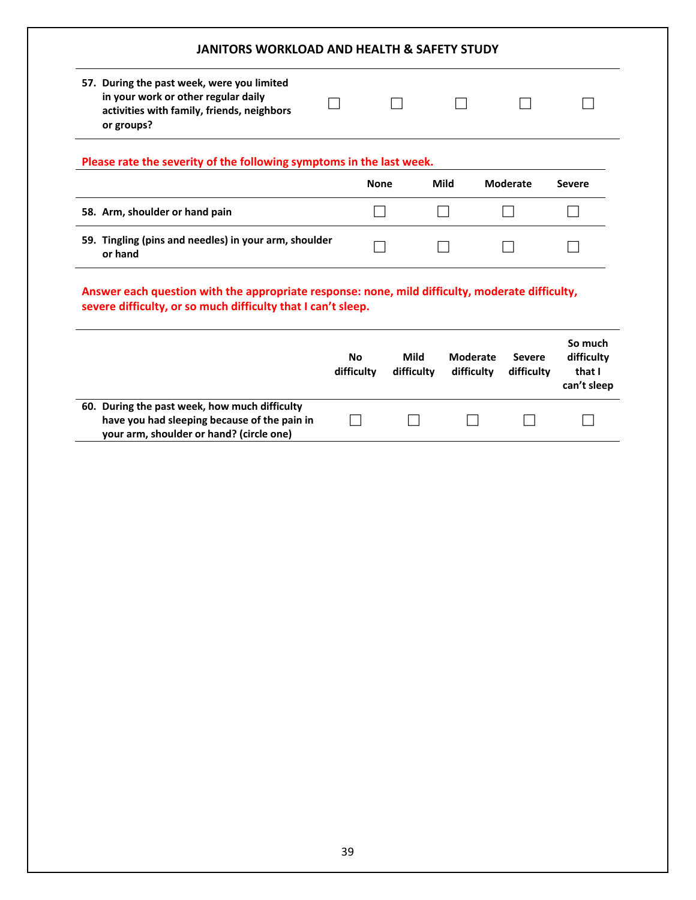| 57. During the past week, were you limited                                                                                                                      |                         |                           |                               |                             |                                                |
|-----------------------------------------------------------------------------------------------------------------------------------------------------------------|-------------------------|---------------------------|-------------------------------|-----------------------------|------------------------------------------------|
| in your work or other regular daily<br>activities with family, friends, neighbors<br>or groups?                                                                 |                         |                           |                               |                             |                                                |
| Please rate the severity of the following symptoms in the last week.                                                                                            |                         |                           |                               |                             |                                                |
|                                                                                                                                                                 | <b>None</b>             |                           | Mild                          | <b>Moderate</b>             | <b>Severe</b>                                  |
| 58. Arm, shoulder or hand pain                                                                                                                                  |                         |                           |                               |                             |                                                |
| 59. Tingling (pins and needles) in your arm, shoulder<br>or hand                                                                                                |                         |                           |                               |                             |                                                |
|                                                                                                                                                                 |                         |                           |                               |                             |                                                |
|                                                                                                                                                                 |                         |                           |                               |                             |                                                |
| Answer each question with the appropriate response: none, mild difficulty, moderate difficulty,<br>severe difficulty, or so much difficulty that I can't sleep. | <b>No</b><br>difficulty | <b>Mild</b><br>difficulty | <b>Moderate</b><br>difficulty | <b>Severe</b><br>difficulty | So much<br>difficulty<br>that I<br>can't sleep |

**have you had sleeping because of the pain in your arm, shoulder or hand? (circle one)**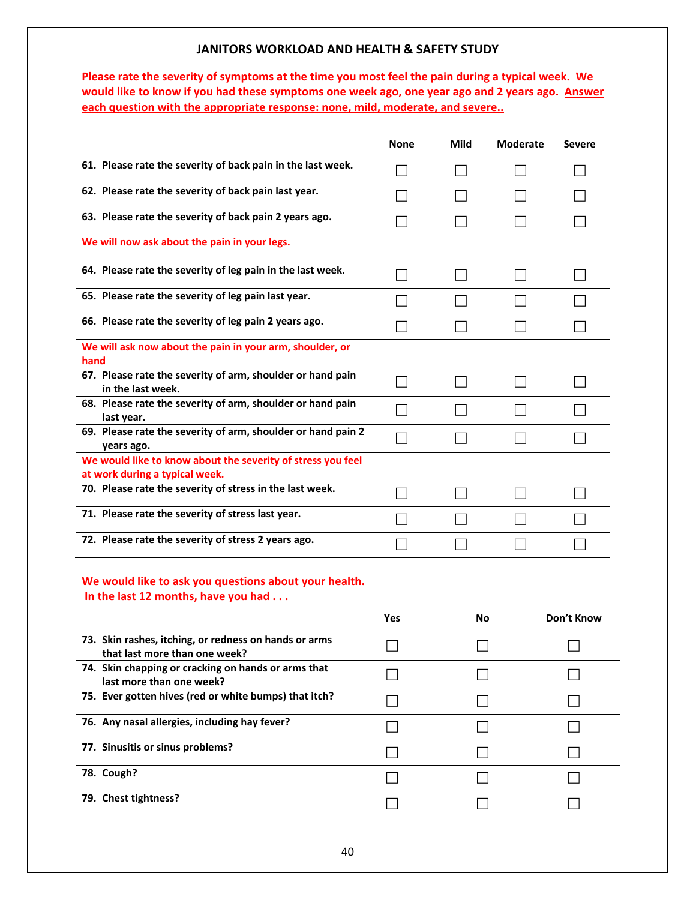Please rate the severity of symptoms at the time you most feel the pain during a typical week. We would like to know if you had these symptoms one week ago, one year ago and 2 years ago. Answer **each question with the appropriate response: none, mild, moderate, and severe..**

|                                                                                               | <b>None</b> | <b>Mild</b> | <b>Moderate</b> | <b>Severe</b> |
|-----------------------------------------------------------------------------------------------|-------------|-------------|-----------------|---------------|
| 61. Please rate the severity of back pain in the last week.                                   |             |             |                 |               |
| 62. Please rate the severity of back pain last year.                                          |             |             |                 |               |
| 63. Please rate the severity of back pain 2 years ago.                                        |             |             |                 |               |
| We will now ask about the pain in your legs.                                                  |             |             |                 |               |
| 64. Please rate the severity of leg pain in the last week.                                    |             |             |                 |               |
| 65. Please rate the severity of leg pain last year.                                           |             |             |                 |               |
| 66. Please rate the severity of leg pain 2 years ago.                                         |             |             |                 |               |
| We will ask now about the pain in your arm, shoulder, or<br>hand                              |             |             |                 |               |
| 67. Please rate the severity of arm, shoulder or hand pain<br>in the last week.               |             |             |                 |               |
| 68. Please rate the severity of arm, shoulder or hand pain<br>last year.                      |             |             |                 |               |
| 69. Please rate the severity of arm, shoulder or hand pain 2<br>years ago.                    |             |             |                 |               |
| We would like to know about the severity of stress you feel<br>at work during a typical week. |             |             |                 |               |
| 70. Please rate the severity of stress in the last week.                                      |             |             |                 |               |
| 71. Please rate the severity of stress last year.                                             |             |             |                 |               |
| 72. Please rate the severity of stress 2 years ago.                                           |             |             |                 |               |

# **We would like to ask you questions about your health.**

**In the last 12 months, have you had . . .**

|                                                                                        | Yes | No. | Don't Know |
|----------------------------------------------------------------------------------------|-----|-----|------------|
| 73. Skin rashes, itching, or redness on hands or arms<br>that last more than one week? |     |     |            |
| 74. Skin chapping or cracking on hands or arms that<br>last more than one week?        |     |     |            |
| 75. Ever gotten hives (red or white bumps) that itch?                                  |     |     |            |
| 76. Any nasal allergies, including hay fever?                                          |     |     |            |
| 77. Sinusitis or sinus problems?                                                       |     |     |            |
| 78. Cough?                                                                             |     |     |            |
| 79. Chest tightness?                                                                   |     |     |            |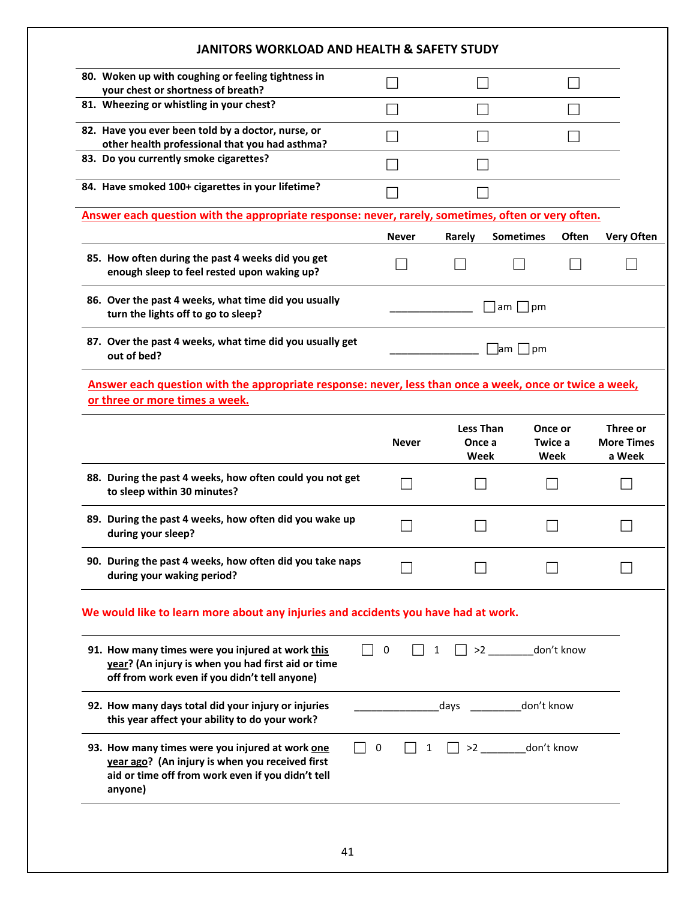| <b>JANITORS WORKLOAD AND HEALTH &amp; SAFETY STUDY</b>                                                                                                             |              |                                    |                            |              |                                         |
|--------------------------------------------------------------------------------------------------------------------------------------------------------------------|--------------|------------------------------------|----------------------------|--------------|-----------------------------------------|
| 80. Woken up with coughing or feeling tightness in<br>your chest or shortness of breath?                                                                           |              |                                    |                            |              |                                         |
| 81. Wheezing or whistling in your chest?                                                                                                                           |              |                                    |                            |              |                                         |
| 82. Have you ever been told by a doctor, nurse, or<br>other health professional that you had asthma?                                                               |              |                                    |                            |              |                                         |
| 83. Do you currently smoke cigarettes?                                                                                                                             |              |                                    |                            |              |                                         |
| 84. Have smoked 100+ cigarettes in your lifetime?                                                                                                                  |              |                                    |                            |              |                                         |
| Answer each question with the appropriate response: never, rarely, sometimes, often or very often.                                                                 |              |                                    |                            |              |                                         |
|                                                                                                                                                                    | Never        | Rarely                             | <b>Sometimes</b>           | <b>Often</b> | <b>Very Often</b>                       |
| 85. How often during the past 4 weeks did you get<br>enough sleep to feel rested upon waking up?                                                                   |              |                                    |                            |              |                                         |
| 86. Over the past 4 weeks, what time did you usually<br>turn the lights off to go to sleep?                                                                        |              |                                    | $am \mid$<br> pm           |              |                                         |
| 87. Over the past 4 weeks, what time did you usually get<br>out of bed?                                                                                            |              |                                    | $\mathsf{lam}$  <br> pm    |              |                                         |
| Answer each question with the appropriate response: never, less than once a week, once or twice a week,<br>or three or more times a week.                          |              |                                    |                            |              |                                         |
|                                                                                                                                                                    | <b>Never</b> | <b>Less Than</b><br>Once a<br>Week | Once or<br>Twice a<br>Week |              | Three or<br><b>More Times</b><br>a Week |
| 88. During the past 4 weeks, how often could you not get<br>to sleep within 30 minutes?                                                                            |              |                                    |                            |              |                                         |
| 89. During the past 4 weeks, how often did you wake up<br>during your sleep?                                                                                       |              |                                    |                            |              |                                         |
| 90. During the past 4 weeks, how often did you take naps<br>during your waking period?                                                                             |              |                                    |                            |              |                                         |
| We would like to learn more about any injuries and accidents you have had at work.                                                                                 |              |                                    |                            |              |                                         |
| 91. How many times were you injured at work this<br>year? (An injury is when you had first aid or time<br>off from work even if you didn't tell anyone)            | 0            |                                    | >2 _________ don't know    |              |                                         |
| 92. How many days total did your injury or injuries<br>this year affect your ability to do your work?                                                              |              | days                               | don't know                 |              |                                         |
| 93. How many times were you injured at work one<br>year ago? (An injury is when you received first<br>aid or time off from work even if you didn't tell<br>anyone) | 0            |                                    | $\vert$ >2 don't know      |              |                                         |
|                                                                                                                                                                    |              |                                    |                            |              |                                         |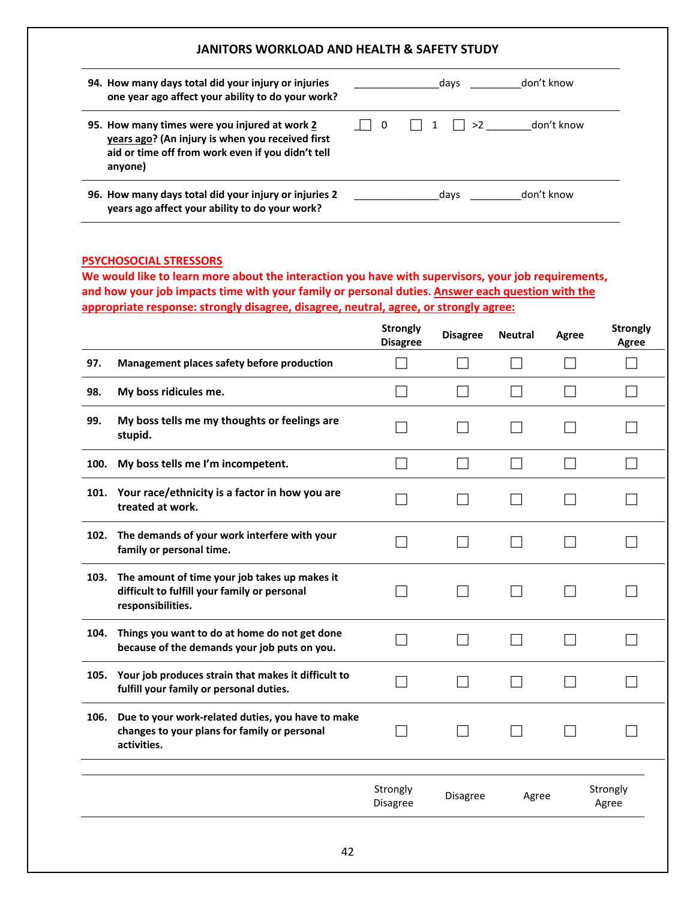| 94. How many days total did your injury or injuries<br>one year ago affect your ability to do your work?                                                          |                         | days | don't know |
|-------------------------------------------------------------------------------------------------------------------------------------------------------------------|-------------------------|------|------------|
| 95. How many times were you injured at work 2<br>years ago? (An injury is when you received first<br>aid or time off from work even if you didn't tell<br>anyone) | $\overline{\mathbf{0}}$ | >2   | don't know |
| 96. How many days total did your injury or injuries 2<br>years ago affect your ability to do your work?                                                           |                         | days | don't know |

#### **PSYCHOSOCIAL STRESSORS**

**We would like to learn more about the interaction you have with supervisors, your job requirements, and how your job impacts time with your family or personal duties**. **Answer each question with the appropriate response: strongly disagree, disagree, neutral, agree, or strongly agree:**

|      |                                                                                                                    | <b>Strongly</b><br><b>Disagree</b> | <b>Disagree</b> | <b>Neutral</b> | Agree | <b>Strongly</b><br>Agree |
|------|--------------------------------------------------------------------------------------------------------------------|------------------------------------|-----------------|----------------|-------|--------------------------|
| 97.  | Management places safety before production                                                                         |                                    |                 |                |       |                          |
| 98.  | My boss ridicules me.                                                                                              |                                    |                 |                |       |                          |
| 99.  | My boss tells me my thoughts or feelings are<br>stupid.                                                            |                                    |                 |                |       |                          |
| 100. | My boss tells me I'm incompetent.                                                                                  |                                    |                 |                |       |                          |
| 101. | Your race/ethnicity is a factor in how you are<br>treated at work.                                                 |                                    |                 |                |       |                          |
| 102. | The demands of your work interfere with your<br>family or personal time.                                           |                                    |                 |                |       |                          |
| 103. | The amount of time your job takes up makes it<br>difficult to fulfill your family or personal<br>responsibilities. |                                    |                 |                |       |                          |
| 104. | Things you want to do at home do not get done<br>because of the demands your job puts on you.                      |                                    |                 |                |       |                          |
| 105. | Your job produces strain that makes it difficult to<br>fulfill your family or personal duties.                     |                                    |                 |                |       |                          |
| 106. | Due to your work-related duties, you have to make<br>changes to your plans for family or personal<br>activities.   |                                    |                 |                |       |                          |
|      |                                                                                                                    | Strongly<br><b>Disagree</b>        | Disagree        | Agree          |       | Strongly<br>Agree        |
|      |                                                                                                                    |                                    |                 |                |       |                          |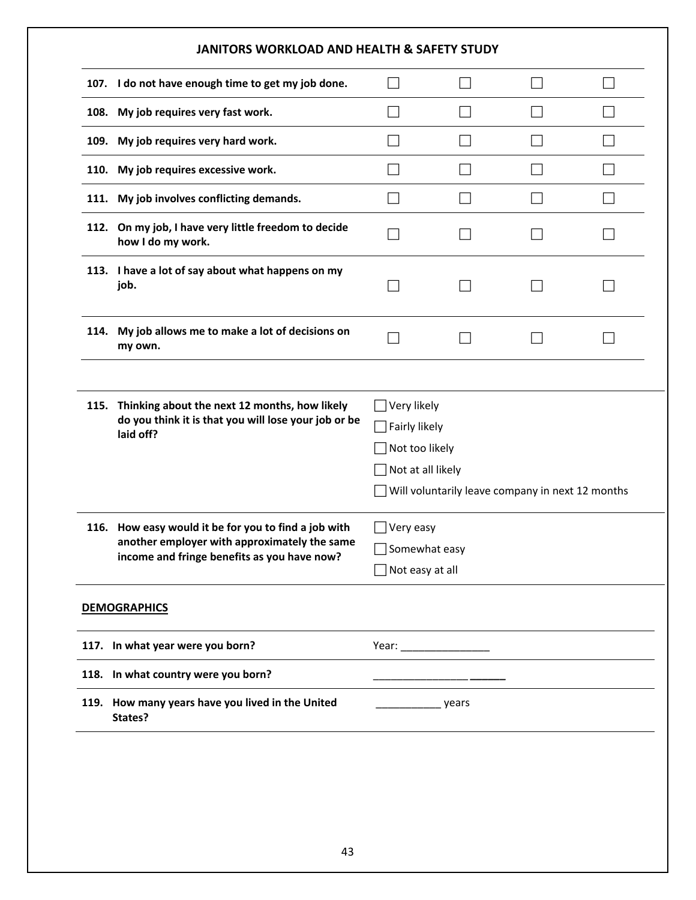|      | JANITORS WORKLOAD AND HEALTH & SAFETY STUDY                                                                                                         |                                                                                                                         |  |              |  |
|------|-----------------------------------------------------------------------------------------------------------------------------------------------------|-------------------------------------------------------------------------------------------------------------------------|--|--------------|--|
| 107. | I do not have enough time to get my job done.                                                                                                       |                                                                                                                         |  |              |  |
|      | 108. My job requires very fast work.                                                                                                                |                                                                                                                         |  |              |  |
|      | 109. My job requires very hard work.                                                                                                                |                                                                                                                         |  |              |  |
| 110. | My job requires excessive work.                                                                                                                     |                                                                                                                         |  |              |  |
|      | 111. My job involves conflicting demands.                                                                                                           |                                                                                                                         |  | $\mathbf{L}$ |  |
|      | 112. On my job, I have very little freedom to decide<br>how I do my work.                                                                           |                                                                                                                         |  |              |  |
|      | 113. I have a lot of say about what happens on my<br>job.                                                                                           |                                                                                                                         |  |              |  |
|      | 114. My job allows me to make a lot of decisions on<br>my own.                                                                                      |                                                                                                                         |  |              |  |
| 115. | Thinking about the next 12 months, how likely<br>do you think it is that you will lose your job or be<br>laid off?                                  | Very likely<br>Fairly likely<br>Not too likely<br>Not at all likely<br>Will voluntarily leave company in next 12 months |  |              |  |
|      | 116. How easy would it be for you to find a job with<br>another employer with approximately the same<br>income and fringe benefits as you have now? | Very easy<br>Somewhat easy<br>Not easy at all                                                                           |  |              |  |
|      | <b>DEMOGRAPHICS</b>                                                                                                                                 |                                                                                                                         |  |              |  |
|      | 117. In what year were you born?                                                                                                                    |                                                                                                                         |  |              |  |
|      | 118. In what country were you born?                                                                                                                 |                                                                                                                         |  |              |  |
| 119. | How many years have you lived in the United                                                                                                         | ________________ years                                                                                                  |  |              |  |